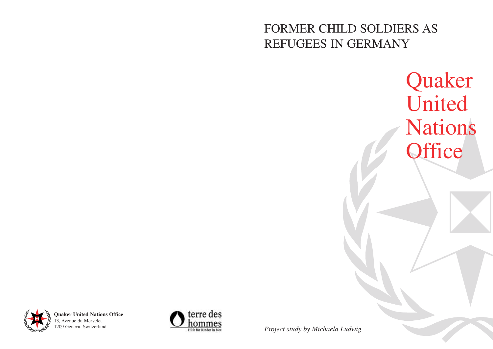## FORMER CHILD SOLDIERS AS REFUGEES IN GERMANY



# Quaker United Nations **Office**



**Quaker United Nations Office** 13, Avenue du Mervelet 1209 Geneva, Switzerland



*Project study by Michaela Ludwig*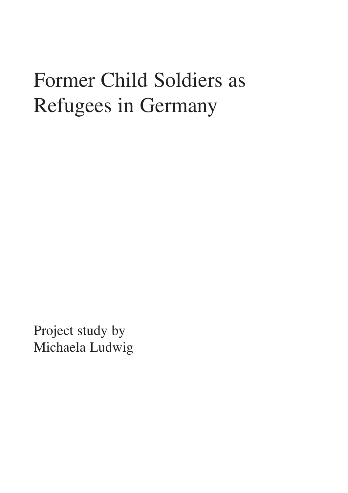## Former Child Soldiers as Refugees in Germany

Project study by Michaela Ludwig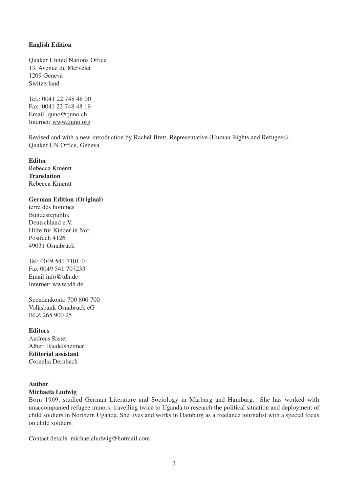#### **English Edition**

Quaker United Nations Office 13, Avenue du Mervelet 1209 Geneva Switzerland

Tel.: 0041 22 748 48 00 Fax: 0041 22 748 48 19 Email: quno@quno.ch Internet: www.quno.org

Revised and with a new introduction by Rachel Brett, Representative (Human Rights and Refugees), Quaker UN Office, Geneva

**Editor**

Rebecca Kmentt **Translation** Rebecca Kmentt

#### **German Edition (Original)**

terre des hommes Bundesrepublik Deutschland e.V. Hilfe für Kinder in Not Postfach 4126 49031 Osnabrück

Tel: 0049 541 7101-0 Fax 0049 541 707233 Email info@tdh.de Internet: www.tdh.de

Spendenkonto 700 800 700 Volksbank Osnabrück eG BLZ 265 900 25

**Editors** Andreas Rister Albert Riedelsheimer **Editorial assistant** Cornelia Dernbach

#### **Author**

#### **Michaela Ludwig**

Born 1969, studied German Literature and Sociology in Marburg and Hamburg. She has worked with unaccompanied refugee minors, travelling twice to Uganda to research the political situation and deployment of child soldiers in Northern Uganda. She lives and works in Hamburg as a freelance journalist with a special focus on child soldiers.

Contact details: michaelaludwig@hotmail.com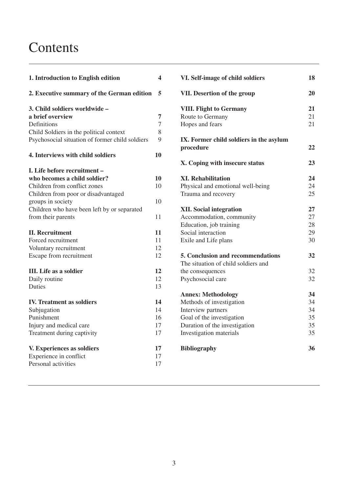### Contents

| 1. Introduction to English edition              |        |  |  |
|-------------------------------------------------|--------|--|--|
| 2. Executive summary of the German edition      | 5      |  |  |
| 3. Child soldiers worldwide –                   |        |  |  |
| a brief overview                                | 7      |  |  |
| Definitions                                     | 7      |  |  |
| Child Soldiers in the political context         | 8<br>9 |  |  |
| Psychosocial situation of former child soldiers |        |  |  |
| 4. Interviews with child soldiers               | 10     |  |  |
| L. Life before recruitment –                    |        |  |  |
| who becomes a child soldier?                    | 10     |  |  |
| Children from conflict zones                    | 10     |  |  |
| Children from poor or disadvantaged             |        |  |  |
| groups in society                               | 10     |  |  |
| Children who have been left by or separated     |        |  |  |
| from their parents                              | 11     |  |  |
| <b>II. Recruitment</b>                          | 11     |  |  |
| Forced recruitment                              | 11     |  |  |
| Voluntary recruitment                           | 12     |  |  |
| Escape from recruitment                         | 12     |  |  |
| <b>III.</b> Life as a soldier                   | 12     |  |  |
| Daily routine                                   | 12     |  |  |
| <b>Duties</b>                                   | 13     |  |  |
| <b>IV. Treatment as soldiers</b>                | 14     |  |  |
| Subjugation                                     | 14     |  |  |
| Punishment                                      | 16     |  |  |
| Injury and medical care                         | 17     |  |  |
| Treatment during captivity                      | 17     |  |  |
| V. Experiences as soldiers                      | 17     |  |  |
| Experience in conflict                          | 17     |  |  |
| Personal activities                             | 17     |  |  |
|                                                 |        |  |  |

| VI. Self-image of child soldiers        | 18 |
|-----------------------------------------|----|
| VII. Desertion of the group             | 20 |
| <b>VIII. Flight to Germany</b>          | 21 |
| Route to Germany                        | 21 |
| Hopes and fears                         | 21 |
| IX. Former child soldiers in the asylum |    |
| procedure                               | 22 |
| X. Coping with insecure status          | 23 |
| <b>XI. Rehabilitation</b>               | 24 |
| Physical and emotional well-being       | 24 |
| Trauma and recovery                     | 25 |
| <b>XII.</b> Social integration          | 27 |
| Accommodation, community                | 27 |
| Education, job training                 | 28 |
| Social interaction                      | 29 |
| Exile and Life plans                    | 30 |
| 5. Conclusion and recommendations       | 32 |
| The situation of child soldiers and     |    |
| the consequences                        | 32 |
| Psychosocial care                       | 32 |
| <b>Annex: Methodology</b>               | 34 |
| Methods of investigation                | 34 |
| Interview partners                      | 34 |
| Goal of the investigation               | 35 |
| Duration of the investigation           | 35 |
| Investigation materials                 | 35 |
| <b>Bibliography</b>                     | 36 |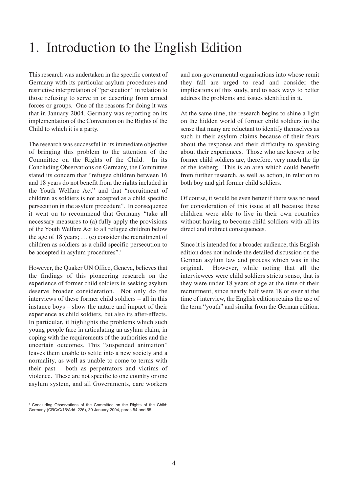## 1. Introduction to the English Edition

This research was undertaken in the specific context of Germany with its particular asylum procedures and restrictive interpretation of "persecution" in relation to those refusing to serve in or deserting from armed forces or groups. One of the reasons for doing it was that in January 2004, Germany was reporting on its implementation of the Convention on the Rights of the Child to which it is a party.

The research was successful in its immediate objective of bringing this problem to the attention of the Committee on the Rights of the Child. In its Concluding Observations on Germany, the Committee stated its concern that "refugee children between 16 and 18 years do not benefit from the rights included in the Youth Welfare Act" and that "recruitment of children as soldiers is not accepted as a child specific persecution in the asylum procedure". In consequence it went on to recommend that Germany "take all necessary measures to (a) fully apply the provisions of the Youth Welfare Act to all refugee children below the age of 18 years; … (c) consider the recruitment of children as soldiers as a child specific persecution to be accepted in asylum procedures".<sup>1</sup>

However, the Quaker UN Office, Geneva, believes that the findings of this pioneering research on the experience of former child soldiers in seeking asylum deserve broader consideration. Not only do the interviews of these former child soldiers – all in this instance boys – show the nature and impact of their experience as child soldiers, but also its after-effects. In particular, it highlights the problems which such young people face in articulating an asylum claim, in coping with the requirements of the authorities and the uncertain outcomes. This "suspended animation" leaves them unable to settle into a new society and a normality, as well as unable to come to terms with their past – both as perpetrators and victims of violence. These are not specific to one country or one asylum system, and all Governments, care workers and non-governmental organisations into whose remit they fall are urged to read and consider the implications of this study, and to seek ways to better address the problems and issues identified in it.

At the same time, the research begins to shine a light on the hidden world of former child soldiers in the sense that many are reluctant to identify themselves as such in their asylum claims because of their fears about the response and their difficulty to speaking about their experiences. Those who are known to be former child soldiers are, therefore, very much the tip of the iceberg. This is an area which could benefit from further research, as well as action, in relation to both boy and girl former child soldiers.

Of course, it would be even better if there was no need for consideration of this issue at all because these children were able to live in their own countries without having to become child soldiers with all its direct and indirect consequences.

Since it is intended for a broader audience, this English edition does not include the detailed discussion on the German asylum law and process which was in the original. However, while noting that all the interviewees were child soldiers strictu senso, that is they were under 18 years of age at the time of their recruitment, since nearly half were 18 or over at the time of interview, the English edition retains the use of the term "youth" and similar from the German edition.

Concluding Observations of the Committee on the Rights of the Child: Germany (CRC/C/15/Add. 226), 30 January 2004, paras 54 and 55.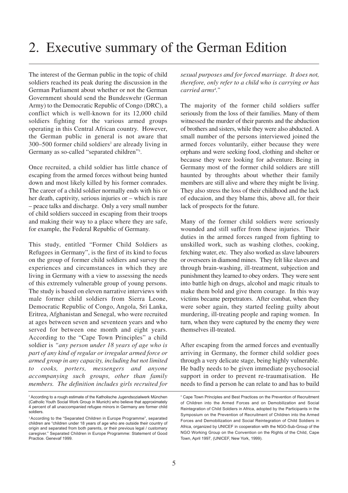The interest of the German public in the topic of child soldiers reached its peak during the discussion in the German Parliament about whether or not the German Government should send the Bundeswehr (German Army) to the Democratic Republic of Congo (DRC), a conflict which is well-known for its 12,000 child soldiers fighting for the various armed groups operating in this Central African country. However, the German public in general is not aware that  $300-500$  former child soldiers<sup>2</sup> are already living in Germany as so-called "separated children"<sup>3</sup>.

Once recruited, a child soldier has little chance of escaping from the armed forces without being hunted down and most likely killed by his former comrades. The career of a child soldier normally ends with his or her death, captivity, serious injuries or – which is rare – peace talks and discharge. Only a very small number of child soldiers succeed in escaping from their troops and making their way to a place where they are safe, for example, the Federal Republic of Germany.

This study, entitled "Former Child Soldiers as Refugees in Germany", is the first of its kind to focus on the group of former child soldiers and survey the experiences and circumstances in which they are living in Germany with a view to assessing the needs of this extremely vulnerable group of young persons. The study is based on eleven narrative interviews with male former child soldiers from Sierra Leone, Democratic Republic of Congo, Angola, Sri Lanka, Eritrea, Afghanistan and Senegal, who were recruited at ages between seven and seventeen years and who served for between one month and eight years. According to the "Cape Town Principles" a child soldier is *"any person under 18 years of age who is part of any kind of regular or irregular armed force or armed group in any capacity, including but not limited to cooks, porters, messengers and anyone accompanying such groups, other than family members. The definition includes girls recruited for*

*sexual purposes and for forced marriage. It does not, therefore, only refer to a child who is carrying or has carried arms4 ."*

The majority of the former child soldiers suffer seriously from the loss of their families. Many of them witnessed the murder of their parents and the abduction of brothers and sisters, while they were also abducted. A small number of the persons interviewed joined the armed forces voluntarily, either because they were orphans and were seeking food, clothing and shelter or because they were looking for adventure. Being in Germany most of the former child soldiers are still haunted by throughts about whether their family members are still alive and where they might be living. They also stress the loss of their childhood and the lack of educaion, and they blame this, above all, for their lack of prospects for the future.

Many of the former child soldiers were seriously wounded and still suffer from these injuries. Their duties in the armed forces ranged from fighting to unskilled work, such as washing clothes, cooking, fetching water, etc. They also worked as slave labourers or overseers in diamond mines. They felt like slaves and through brain-washing, ill-treatment, subjection and punishment they learned to obey orders. They were sent into battle high on drugs, alcohol and magic rituals to make them bold and give them courage. In this way victims became perpetrators. After combat, when they were sober again, they started feeling guilty about murdering, ill-treating people and raping women. In turn, when they were captured by the enemy they were themselves ill-treated.

After escaping from the armed forces and eventually arriving in Germany, the former child soldier goes through a very delicate stage, being highly vulnerable. He badly needs to be given immediate psychosocial support in order to prevent re-traumatisation. He needs to find a person he can relate to and has to build

<sup>&</sup>lt;sup>2</sup> According to a rough estimate of the Katholische Jugendsozialwerk München (Catholic Youth Social Work Group in Munich) who believe that approximately 4 percent of all unaccompanied refugee minors in Germany are former child soldiers.

<sup>&</sup>lt;sup>3</sup> According to the "Separated Children in Europe Programme", separated children are "children under 18 years of age who are outside their country of origin and separated from both parents, or their previous legal / customary caregiver." Separated Children in Europe Programme: Statement of Good Practice. Genevaf 1999.

<sup>4</sup> Cape Town Principles and Best Practices on the Prevention of Recruitment of Children into the Armed Forces and on Demobilization and Social Reintegration of Child Soldiers in Africa, adopted by the Participants in the Symposium on the Prevention of Recruitment of Children into the Armed Forces and Demobilization and Social Reintegration of Child Soldiers in Africa, organized by UNICEF in cooperation with the NGO-Sub-Group of the NGO Working Group on the Convention on the Rights of the Child, Cape Town, April 1997, (UNICEF, New York, 1999).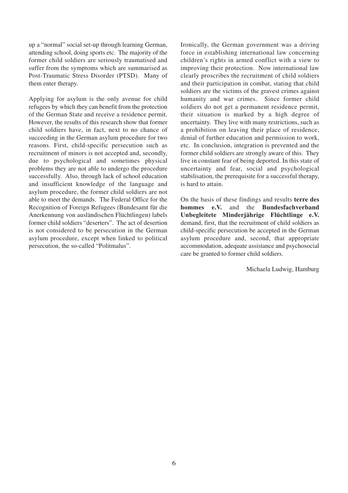up a "normal" social set-up through learning German, attending school, doing sports etc. The majority of the former child soldiers are seriously traumatised and suffer from the symptoms which are summarised as Post-Traumatic Stress Disorder (PTSD). Many of them enter therapy.

Applying for asylum is the only avenue for child refugees by which they can benefit from the protection of the German State and receive a residence permit. However, the results of this research show that former child soldiers have, in fact, next to no chance of succeeding in the German asylum procedure for two reasons. First, child-specific persecution such as recruitment of minors is not accepted and, secondly, due to psychological and sometimes physical problems they are not able to undergo the procedure successfully. Also, through lack of school education and insufficient knowledge of the language and asylum procedure, the former child soldiers are not able to meet the demands. The Federal Office for the Recognition of Foreign Refugees (Bundesamt für die Anerkennung von ausländischen Flüchtlingen) labels former child soldiers "deserters". The act of desertion is not considered to be persecution in the German asylum procedure, except when linked to political persecution, the so-called "Politmalus".

Ironically, the German government was a driving force in establishing international law concerning children's rights in armed conflict with a view to improving their protection. Now international law clearly proscribes the recruitment of child soldiers and their participation in combat, stating that child soldiers are the victims of the gravest crimes against humanity and war crimes. Since former child soldiers do not get a permanent residence permit, their situation is marked by a high degree of uncertainty. They live with many restrictions, such as a prohibition on leaving their place of residence, denial of further education and permission to work, etc. In conclusion, integration is prevented and the former child soldiers are strongly aware of this. They live in constant fear of being deported. In this state of uncertainty and fear, social and psychological stabilisation, the prerequisite for a successful therapy, is hard to attain.

On the basis of these findings and results **terre des hommes e.V.** and the **Bundesfachverband Unbegleitete Minderjährige Flüchtlinge e.V.** demand, first, that the recruitment of child soldiers as child-specific persecution be accepted in the German asylum procedure and, second, that appropriate accommodation, adequate assistance and psychosocial care be granted to former child soldiers.

Michaela Ludwig, Hamburg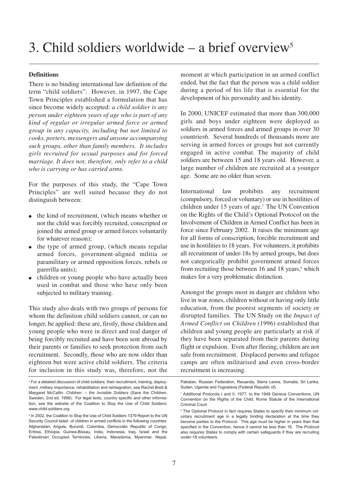#### **Definitions**

There is no binding international law definition of the term "child soldiers". However, in 1997, the Cape Town Principles established a formulation that has since become widely accepted: *a child soldier is any person under eighteen years of age who is part of any kind of regular or irregular armed force or armed group in any capacity, including but not limited to cooks, porters, messengers and anyone accompanying such groups, other than family members. It includes girls recruited for sexual purposes and for forced marriage. It does not, therefore, only refer to a child who is carrying or has carried arms.*

For the purposes of this study, the "Cape Town Principles" are well suited because they do not distinguish between:

- the kind of recruitment, (which means whether or not the child was forcibly recruited, conscripted or joined the armed group or armed forces voluntarily for whatever reason);
- the type of armed group, (which means regular armed forces, government-aligned militia or paramilitary or armed opposition forces, rebels or guerrilla units);
- children or young people who have actually been used in combat and those who have only been subjected to military training.

This study also deals with two groups of persons for whom the definition child soldiers cannot, or can no longer, be applied: these are, firstly, those children and young people who were in direct and real danger of being forcibly recruited and have been sent abroad by their parents or families to seek protection from such recruitment. Secondly, those who are now older than eighteen but were active child soldiers. The criteria for inclusion in this study was, therefore, not the

<sup>5</sup> For a detailed discussion of child soldiers, their recruitment, training, deployment ,military importance, rehabilitation and reintegration, see Rachel Brett & Margaret McCallin: *Children: – the Invisible Soldiers* (Save the Children, Sweden, 2nd ed. 1998). For legal texts, country specific and other information, see the website of the Coalition to Stop the Use of Child Soldiers: www.child-soldiers.org

moment at which participation in an armed conflict ended, but the fact that the person was a child soldier during a period of his life that is essential for the development of his personality and his identity.

In 2000, UNICEF estimated that more than 300,000 girls and boys under eighteen were deployed as soldiers in armed forces and armed groups in over 30 countries6. Several hundreds of thousands more are serving in armed forces or groups but not currently engaged in active combat. The majority of child soldiers are between 15 and 18 years old. However, a large number of children are recruited at a younger age. Some are no older than seven.

International law prohibits any recruitment (compulsory, forced or voluntary) or use in hostilities of children under 15 years of age.<sup>7</sup> The UN Convention on the Rights of the Child's Optional Protocol on the Involvement of Children in Armed Conflict has been in force since February 2002. It raises the minimum age for all forms of conscription, forcible recruitment and use in hostilities to 18 years. For volunteers, it prohibits all recruitment of under-18s by armed groups, but does not categorically prohibit government armed forces from recruiting those between  $16$  and  $18$  years, $\frac{8}{3}$  which makes for a very problematic distinction.

Amongst the groups most in danger are children who live in war zones, children without or having only little education, from the poorest segments of society or disrupted families. The UN Study on the *Impact of Armed Conflict on Children* (1996) established that children and young people are particularly at risk if they have been separated from their parents during flight or expulsion. Even after fleeing, children are not safe from recruitment. Displaced persons and refugee camps are often militarised and even cross-border recruitment is increasing.

<sup>&</sup>lt;sup>6</sup> In 2002, the Coalition to Stop the Use of Child Soldiers 1379 Report to the UN Security Council listed of children in armed conflicts in the following countries: Afghanistan, Angola, Burundi, Colombia, Democratic Republic of Congo, Eritrea, Ethiopia, Guinea-Bissau, India, Indonesia, Iraq, Israel and the Palestinian Occupied Territories, Liberia, Macedonia, Myanmar, Nepal,

Pakistan, Russian Federation, Rwuanda, Sierra Leone, Somalia, Sri Lanka, Sudan, Uganda and Yugoslavia (Federal Republic of).

<sup>7</sup> Additional Protocols I and II, 1977, to the 1949 Geneva Conventions, UN Convention on the Rights of the Child, Rome Statute of the International Criminal Court.

<sup>&</sup>lt;sup>8</sup> The Optional Protocol in fact requires States to specify their minimum voluntary recruitment age in a legally binding declaration at the time they become parties to the Protocol. This age must be higher in years than that specified in the Convention, hence it cannot be less than 16. The Protocol also requires States to comply with certain safeguards if they are recruiting under-18 volunteers.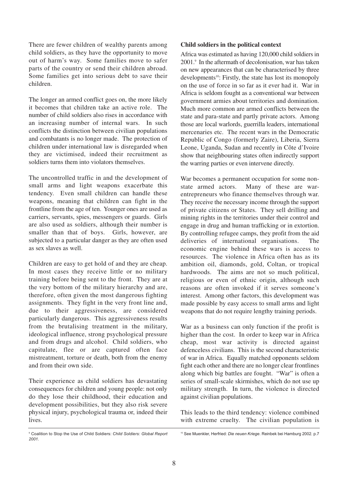There are fewer children of wealthy parents among child soldiers, as they have the opportunity to move out of harm's way. Some families move to safer parts of the country or send their children abroad. Some families get into serious debt to save their children.

The longer an armed conflict goes on, the more likely it becomes that children take an active role. The number of child soldiers also rises in accordance with an increasing number of internal wars. In such conflicts the distinction between civilian populations and combatants is no longer made. The protection of children under international law is disregarded when they are victimised, indeed their recruitment as soldiers turns them into violators themselves.

The uncontrolled traffic in and the development of small arms and light weapons exacerbate this tendency. Even small children can handle these weapons, meaning that children can fight in the frontline from the age of ten. Younger ones are used as carriers, servants, spies, messengers or guards. Girls are also used as soldiers, although their number is smaller than that of boys. Girls, however, are subjected to a particular danger as they are often used as sex slaves as well.

Children are easy to get hold of and they are cheap. In most cases they receive little or no military training before being sent to the front. They are at the very bottom of the military hierarchy and are, therefore, often given the most dangerous fighting assignments. They fight in the very front line and, due to their aggressiveness, are considered particularly dangerous. This aggressiveness results from the brutalising treatment in the military, ideological influence, strong psychological pressure and from drugs and alcohol. Child soldiers, who capitulate, flee or are captured often face mistreatment, torture or death, both from the enemy and from their own side.

Their experience as child soldiers has devastating consequences for children and young people: not only do they lose their childhood, their education and development possibilities, but they also risk severe physical injury, psychological trauma or, indeed their lives.

#### **Child soldiers in the political context**

Africa was estimated as having 120,000 child soldiers in 2001.9 In the aftermath of decolonisation, war has taken on new appearances that can be characterised by three developments<sup>10</sup>: Firstly, the state has lost its monopoly on the use of force in so far as it ever had it. War in Africa is seldom fought as a conventional war between government armies about territories and domination. Much more common are armed conflicts between the state and para-state and partly private actors. Among those are local warlords, guerrilla leaders, international mercenaries etc. The recent wars in the Democratic Republic of Congo (formerly Zaire), Liberia, Sierra Leone, Uganda, Sudan and recently in Côte d'Ivoire show that neighbouring states often indirectly support the warring parties or even intervene directly.

War becomes a permanent occupation for some nonstate armed actors. Many of these are warentrepreneurs who finance themselves through war. They receive the necessary income through the support of private citizens or States. They sell drilling and mining rights in the territories under their control and engage in drug and human trafficking or in extortion. By controlling refugee camps, they profit from the aid deliveries of international organisations. The economic engine behind these wars is access to resources. The violence in Africa often has as its ambition oil, diamonds, gold, Coltan, or tropical hardwoods. The aims are not so much political, religious or even of ethnic origin, although such reasons are often invoked if it serves someone's interest. Among other factors, this development was made possible by easy access to small arms and light weapons that do not require lengthy training periods.

War as a business can only function if the profit is higher than the cost. In order to keep war in Africa cheap, most war activity is directed against defenceless civilians. This is the second characteristic of war in Africa. Equally matched opponents seldom fight each other and there are no longer clear frontlines along which big battles are fought. "War" is often a series of small-scale skirmishes, which do not use up military strength. In turn, the violence is directed against civilian populations.

This leads to the third tendency: violence combined with extreme cruelty. The civilian population is

<sup>9</sup> Coalition to Stop the Use of Child Soldiers: *Child Soldiers: Global Report 2001.*

<sup>10</sup> See Muenkler, Herfried: *Die neuen Kriege*. Reinbek bei Hamburg 2002. p.7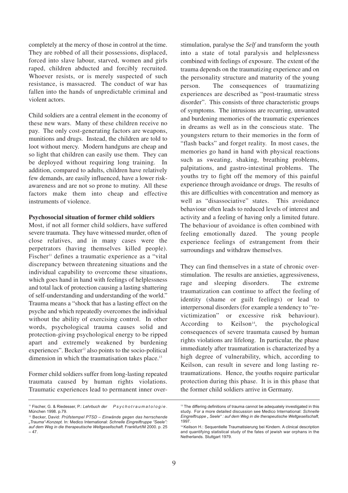completely at the mercy of those in control at the time. They are robbed of all their possessions, displaced, forced into slave labour, starved, women and girls raped, children abducted and forcibly recruited. Whoever resists, or is merely suspected of such resistance, is massacred. The conduct of war has fallen into the hands of unpredictable criminal and violent actors.

Child soldiers are a central element in the economy of these new wars. Many of these children receive no pay. The only cost-generating factors are weapons, munitions and drugs. Instead, the children are told to loot without mercy. Modern handguns are cheap and so light that children can easily use them. They can be deployed without requiring long training. In addition, compared to adults, children have relatively few demands, are easily influenced, have a lower riskawareness and are not so prone to mutiny. All these factors make them into cheap and effective instruments of violence.

#### **Psychosocial situation of former child soldiers**

Most, if not all former child soldiers, have suffered severe traumata. They have witnessed murder, often of close relatives, and in many cases were the perpetrators (having themselves killed people). Fischer<sup>11</sup> defines a traumatic experience as a "vital" discrepancy between threatening situations and the individual capability to overcome these situations, which goes hand in hand with feelings of helplessness and total lack of protection causing a lasting shattering of self-understanding and understanding of the world." Trauma means a "shock that has a lasting effect on the psyche and which repeatedly overcomes the individual without the ability of exercising control. In other words, psychological trauma causes solid and protection-giving psychological energy to be ripped apart and extremely weakened by burdening experiences". Becker<sup>12</sup> also points to the socio-political dimension in which the traumatisation takes place.<sup>13</sup>

Former child soldiers suffer from long-lasting repeated traumata caused by human rights violations. Traumatic experiences lead to permanent inner overstimulation, paralyse the *Self* and transform the youth into a state of total paralysis and helplessness combined with feelings of exposure. The extent of the trauma depends on the traumatizing experience and on the personality structure and maturity of the young person. The consequences of traumatizing experiences are described as "post-traumatic stress disorder". This consists of three characteristic groups of symptoms. The intrusions are recurring, unwanted and burdening memories of the traumatic experiences in dreams as well as in the conscious state. The youngsters return to their memories in the form of "flash backs" and forget reality. In most cases, the memories go hand in hand with physical reactions such as sweating, shaking, breathing problems, palpitations, and gastro-intestinal problems. The youths try to fight off the memory of this painful experience through avoidance or drugs. The results of this are difficulties with concentration and memory as well as "disassociative" states. This avoidance behaviour often leads to reduced levels of interest and activity and a feeling of having only a limited future. The behaviour of avoidance is often combined with feeling emotionally dazed. The young people experience feelings of estrangement from their surroundings and withdraw themselves.

They can find themselves in a state of chronic overstimulation. The results are anxieties, aggressiveness, rage and sleeping disorders. The extreme traumatization can continue to affect the feeling of identity (shame or guilt feelings) or lead to interpersonal disorders (for example a tendency to "revictimization" or excessive risk behaviour). According to Keilson<sup>14</sup>, the psychological consequences of severe traumata caused by human rights violations are lifelong. In particular, the phase immediately after traumatization is characterized by a high degree of vulnerability, which, according to Keilson, can result in severe and long lasting retraumatizations. Hence, the youths require particular protection during this phase. It is in this phase that the former child soldiers arrive in Germany.

<sup>11</sup> Fischer, G. & Riedesser, P.: *Lehrbuch der Psychotraumatologie.* München 1998. p.79.

<sup>12</sup> Becker, David: *Prüfstempel PTSD – Einwände gegen das herrschende "Trauma"-Konzept.* In: Medico International: *Schnelle Eingreiftruppe "Seele": auf dem Weg in die therapeutische Weltgesellschaft.* Frankfurt/M 2000. p. 25  $-47.$ 

<sup>&</sup>lt;sup>13</sup> The differing definitions of trauma cannot be adequately investigated in this study. For a more detailed discussion see Medico International: *Schnelle Eingreiftruppe " Seele" : auf dem Weg in die therapeutische Weltgesellschaft*, 1997.

<sup>14</sup> Keilson H.: Sequentielle Traumatisierung bei Kindern. A clinical description and quantifying statistical study of the fates of jewish war orphans in the Netherlands. Stuttgart 1979.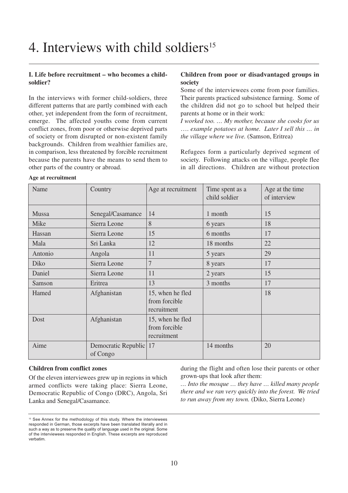#### **I. Life before recruitment – who becomes a childsoldier?**

In the interviews with former child-soldiers, three different patterns that are partly combined with each other, yet independent from the form of recruitment, emerge. The affected youths come from current conflict zones, from poor or otherwise deprived parts of society or from disrupted or non-existent family backgrounds. Children from wealthier families are, in comparison, less threatened by forcible recruitment because the parents have the means to send them to other parts of the country or abroad.

#### **Children from poor or disadvantaged groups in society**

Some of the interviewees come from poor families. Their parents practiced subsistence farming. Some of the children did not go to school but helped their parents at home or in their work:

*I worked too. … My mother, because she cooks for us* …. *example potatoes at home. Later I sell this … in the village where we live.* (Samson, Eritrea)

Refugees form a particularly deprived segment of society. Following attacks on the village, people flee in all directions. Children are without protection

| Name    | Country                         | Age at recruitment                               | Time spent as a<br>child soldier | Age at the time<br>of interview |
|---------|---------------------------------|--------------------------------------------------|----------------------------------|---------------------------------|
| Mussa   | Senegal/Casamance               | 14                                               | 1 month                          | 15                              |
| Mike    | Sierra Leone                    | 8                                                | 6 years                          | 18                              |
| Hassan  | Sierra Leone                    | 15                                               | 6 months                         | 17                              |
| Mala    | Sri Lanka                       | 12                                               | 18 months                        | 22                              |
| Antonio | Angola                          | 11                                               | 5 years                          | 29                              |
| Diko    | Sierra Leone                    | 7                                                | 8 years                          | 17                              |
| Daniel  | Sierra Leone                    | 11                                               | 2 years                          | 15                              |
| Samson  | Eritrea                         | 13                                               | 3 months                         | 17                              |
| Hamed   | Afghanistan                     | 15, when he fled<br>from forcible<br>recruitment |                                  | 18                              |
| Dost    | Afghanistan                     | 15, when he fled<br>from forcible<br>recruitment |                                  |                                 |
| Aime    | Democratic Republic<br>of Congo | 17                                               | 14 months                        | 20                              |

#### **Age at recruitment**

#### **Children from conflict zones**

Of the eleven interviewees grew up in regions in which armed conflicts were taking place: Sierra Leone, Democratic Republic of Congo (DRC), Angola, Sri Lanka and Senegal/Casamance.

during the flight and often lose their parents or other grown-ups that look after them:

*… Into the mosque … they have … killed many people there and we ran very quickly into the forest. We tried to run away from my town.* (Diko, Sierra Leone)

<sup>&</sup>lt;sup>15</sup> See Annex for the methodology of this study. Where the interviewees responded in German, those excerpts have been translated literally and in such a way as to preserve the quality of language used in the original. Some of the interviewees responded in English. These excerpts are reproduced verbatim.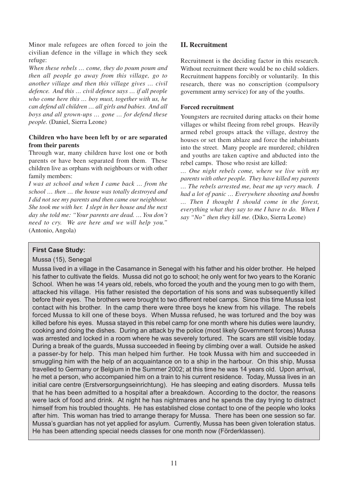Minor male refugees are often forced to join the civilian defence in the village in which they seek refuge:

*When these rebels … come, they do poum poum and then all people go away from this village, go to another village and then this village gives … civil defence. And this … civil defence says … if all people who come here this … boy must, together with us, he can defend all children … all girls and babies. And all boys and all grown-ups … gone … for defend these people.* (Daniel, Sierra Leone)

#### **Children who have been left by or are separated from their parents**

Through war, many children have lost one or both parents or have been separated from them. These children live as orphans with neighbours or with other family members:

*I was at school and when I came back … from the school … then … the house was totally destroyed and I did not see my parents and then came our neighbour. She took me with her. I slept in her house and the next day she told me: "Your parents are dead. … You don't need to cry. We are here and we will help you."* (Antonio, Angola)

#### **II. Recruitment**

Recruitment is the deciding factor in this research. Without recruitment there would be no child soldiers. Recruitment happens forcibly or voluntarily. In this research, there was no conscription (compulsory government army service) for any of the youths.

#### **Forced recruitment**

Youngsters are recruited during attacks on their home villages or whilst fleeing from rebel groups. Heavily armed rebel groups attack the village, destroy the houses or set them ablaze and force the inhabitants into the street. Many people are murdered; children and youths are taken captive and abducted into the rebel camps. Those who resist are killed:

*… One night rebels come, where we live with my parents with other people. They have killed my parents … The rebels arrested me, beat me up very much. I had a lot of panic … Everywhere shooting and bombs … Then I thought I should come in the forest, everything what they say to me I have to do. When I say "No" then they kill me.* (Diko, Sierra Leone)

#### **First Case Study:**

#### Mussa (15), Senegal

Mussa lived in a village in the Casamance in Senegal with his father and his older brother. He helped his father to cultivate the fields. Mussa did not go to school; he only went for two years to the Koranic School. When he was 14 years old, rebels, who forced the youth and the young men to go with them, attacked his village. His father resisted the deportation of his sons and was subsequently killed before their eyes. The brothers were brought to two different rebel camps. Since this time Mussa lost contact with his brother. In the camp there were three boys he knew from his village. The rebels forced Mussa to kill one of these boys. When Mussa refused, he was tortured and the boy was killed before his eyes. Mussa stayed in this rebel camp for one month where his duties were laundry, cooking and doing the dishes. During an attack by the police (most likely Government forces) Mussa was arrested and locked in a room where he was severely tortured. The scars are still visible today. During a break of the guards, Mussa succeeded in fleeing by climbing over a wall. Outside he asked a passer-by for help. This man helped him further. He took Mussa with him and succeeded in smuggling him with the help of an acquaintance on to a ship in the harbour. On this ship, Mussa travelled to Germany or Belgium in the Summer 2002; at this time he was 14 years old. Upon arrival, he met a person, who accompanied him on a train to his current residence. Today, Mussa lives in an initial care centre (Erstversorgungseinrichtung). He has sleeping and eating disorders. Mussa tells that he has been admitted to a hospital after a breakdown. According to the doctor, the reasons were lack of food and drink. At night he has nightmares and he spends the day trying to distract himself from his troubled thoughts. He has established close contact to one of the people who looks after him. This woman has tried to arrange therapy for Mussa. There has been one session so far. Mussa's guardian has not yet applied for asylum. Currently, Mussa has been given toleration status. He has been attending special needs classes for one month now (Förderklassen).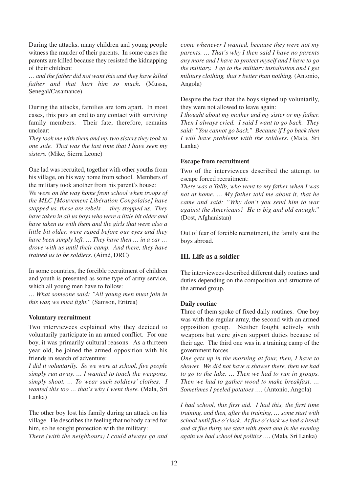During the attacks, many children and young people witness the murder of their parents. In some cases the parents are killed because they resisted the kidnapping of their children:

*… and the father did not want this and they have killed father and that hurt him so much.* (Mussa, Senegal/Casamance)

During the attacks, families are torn apart. In most cases, this puts an end to any contact with surviving family members. Their fate, therefore, remains unclear:

*They took me with them and my two sisters they took to one side. That was the last time that I have seen my sisters.* (Mike, Sierra Leone)

One lad was recruited, together with other youths from his village, on his way home from school. Members of the military took another from his parent's house:

*We were on the way home from school when troops of the MLC [Mouvement Libération Congolaise] have stopped us, these are rebels … they stopped us. They have taken in all us boys who were a little bit older and have taken us with them and the girls that were also a little bit older, were raped before our eyes and they have been simply left. … They have then … in a car … drove with us until their camp. And there, they have trained us to be soldiers.* (Aimé, DRC)

In some countries, the forcible recruitment of children and youth is presented as some type of army service, which all young men have to follow:

*… What someone said: "All young men must join in this war, we must fight."* (Samson, Eritrea)

#### **Voluntary recruitment**

Two interviewees explained why they decided to voluntarily participate in an armed conflict. For one boy, it was primarily cultural reasons. As a thirteen year old, he joined the armed opposition with his friends in search of adventure:

*I did it voluntarily. So we were at school, five people simply run away. … I wanted to touch the weapons, simply shoot. … To wear such soldiers' clothes. I wanted this too ... that's why I went there.* (Mala, Sri Lanka)

The other boy lost his family during an attack on his village. He describes the feeling that nobody cared for him, so he sought protection with the military:

*There (with the neighbours) I could always go and*

*come whenever I wanted, because they were not my parents. … That's why I then said I have no parents any more and I have to protect myself and I have to go the military. I go to the military installation and I get military clothing, that's better than nothing.* (Antonio, Angola)

Despite the fact that the boys signed up voluntarily, they were not allowed to leave again:

*I thought about my mother and my sister or my father. Then I always cried. I said I want to go back. They said: "You cannot go back." Because if I go back then I will have problems with the soldiers.* (Mala, Sri Lanka)

#### **Escape from recruitment**

Two of the interviewees described the attempt to escape forced recruitment:

*There was a Talib, who went to my father when I was not at home. … My father told me about it, that he came and said: "Why don't you send him to war against the Americans? He is big and old enough."* (Dost, Afghanistan)

Out of fear of forcible recruitment, the family sent the boys abroad.

#### **III. Life as a soldier**

The interviewees described different daily routines and duties depending on the composition and structure of the armed group.

#### **Daily routine**

Three of them spoke of fixed daily routines. One boy was with the regular army, the second with an armed opposition group. Neither fought actively with weapons but were given support duties because of their age. The third one was in a training camp of the government forces

*One gets up in the morning at four, then, I have to shower. We did not have a shower there, then we had to go to the lake. … Then we had to run in groups. Then we had to gather wood to make breakfast. … Sometimes I peeled potatoes ….* (Antonio, Angola)

*I had school, this first aid. I had this, the first time training, and then, after the training, … some start with school until five o'clock. At five o'clock we had a break and at five thirty we start with sport and in the evening again we had school but politics ….* (Mala, Sri Lanka)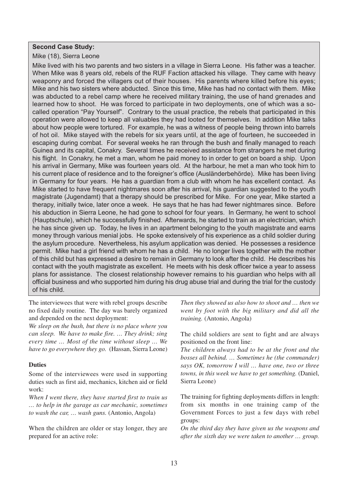#### **Second Case Study:**

Mike (18), Sierra Leone

Mike lived with his two parents and two sisters in a village in Sierra Leone. His father was a teacher. When Mike was 8 years old, rebels of the RUF Faction attacked his village. They came with heavy weaponry and forced the villagers out of their houses. His parents where killed before his eyes; Mike and his two sisters where abducted. Since this time, Mike has had no contact with them. Mike was abducted to a rebel camp where he received military training, the use of hand grenades and learned how to shoot. He was forced to participate in two deployments, one of which was a socalled operation "Pay Yourself". Contrary to the usual practice, the rebels that participated in this operation were allowed to keep all valuables they had looted for themselves. In addition Mike talks about how people were tortured. For example, he was a witness of people being thrown into barrels of hot oil. Mike stayed with the rebels for six years until, at the age of fourteen, he succeeded in escaping during combat. For several weeks he ran through the bush and finally managed to reach Guinea and its capital, Conakry. Several times he received assistance from strangers he met during his flight. In Conakry, he met a man, whom he paid money to in order to get on board a ship. Upon his arrival in Germany, Mike was fourteen years old. At the harbour, he met a man who took him to his current place of residence and to the foreigner's office (Ausländerbehörde). Mike has been living in Germany for four years. He has a guardian from a club with whom he has excellent contact. As Mike started to have frequent nightmares soon after his arrival, his guardian suggested to the youth magistrate (Jugendamt) that a therapy should be prescribed for Mike. For one year, Mike started a therapy, initially twice, later once a week. He says that he has had fewer nightmares since. Before his abduction in Sierra Leone, he had gone to school for four years. In Germany, he went to school (Hauptschule), which he successfully finished. Afterwards, he started to train as an electrician, which he has since given up. Today, he lives in an apartment belonging to the youth magistrate and earns money through various menial jobs. He spoke extensively of his experience as a child soldier during the asylum procedure. Nevertheless, his asylum application was denied. He possesses a residence permit. Mike had a girl friend with whom he has a child. He no longer lives together with the mother of this child but has expressed a desire to remain in Germany to look after the child. He describes his contact with the youth magistrate as excellent. He meets with his desk officer twice a year to assess plans for assistance. The closest relationship however remains to his guardian who helps with all official business and who supported him during his drug abuse trial and during the trial for the custody of his child.

The interviewees that were with rebel groups describe no fixed daily routine. The day was barely organized and depended on the next deployment:

*We sleep on the bush, but there is no place where you can sleep. We have to make fire. … They drink; sing every time … Most of the time without sleep … We have to go everywhere they go.* (Hassan, Sierra Leone)

#### **Duties**

Some of the interviewees were used in supporting duties such as first aid, mechanics, kitchen aid or field work:

*When I went there, they have started first to train us … to help in the garage as car mechanic, sometimes to wash the car, … wash guns.* (Antonio, Angola)

When the children are older or stay longer, they are prepared for an active role:

*Then they showed us also how to shoot and … then we went by foot with the big military and did all the training.* (Antonio, Angola)

The child soldiers are sent to fight and are always positioned on the front line:

*The children always had to be at the front and the bosses all behind. … Sometimes he (the commander) says OK, tomorrow I will … have one, two or three towns, in this week we have to get something.* (Daniel, Sierra Leone)

The training for fighting deployments differs in length: from six months in one training camp of the Government Forces to just a few days with rebel groups:

*On the third day they have given us the weapons and after the sixth day we were taken to another … group.*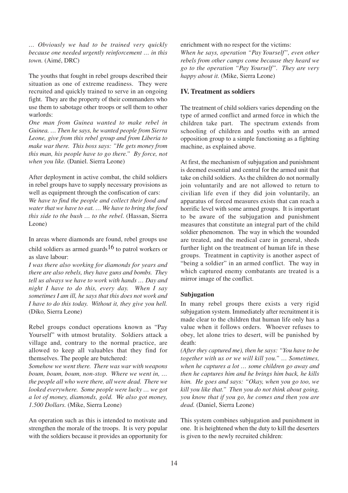*… Obviously we had to be trained very quickly because one needed urgently reinforcement … in this town.* (Aimé, DRC)

The youths that fought in rebel groups described their situation as one of extreme readiness. They were recruited and quickly trained to serve in an ongoing fight. They are the property of their commanders who use them to sabotage other troops or sell them to other warlords:

*One man from Guinea wanted to make rebel in Guinea. … Then he says, he wanted people from Sierra Leone, give from this rebel group and from Liberia to make war there. This boss says: "He gets money from this man, his people have to go there." By force, not when you like.* (Daniel. Sierra Leone)

After deployment in active combat, the child soldiers in rebel groups have to supply necessary provisions as well as equipment through the confiscation of cars:

*We have to find the people and collect their food and water that we have to eat. … We have to bring the food this side to the bush … to the rebel.* (Hassan, Sierra Leone)

In areas where diamonds are found, rebel groups use child soldiers as armed guards<sup>16</sup> to patrol workers or as slave labour:

*I was there also working for diamonds for years and there are also rebels, they have guns and bombs. They tell us always we have to work with hands … Day and night I have to do this, every day. When I say sometimes I am ill, he says that this does not work and I have to do this today. Without it, they give you hell.* (Diko*,* Sierra Leone)

Rebel groups conduct operations known as "Pay Yourself" with utmost brutality. Soldiers attack a village and, contrary to the normal practice, are allowed to keep all valuables that they find for themselves. The people are butchered:

*Somehow we went there. There was war with weapons boum, boum, boum, non-stop. Where we went in, … the people all who were there, all were dead. There we looked everywhere. Some people were lucky … we got a lot of money, diamonds, gold. We also got money, 1.500 Dollars.* (Mike, Sierra Leone)

An operation such as this is intended to motivate and strengthen the morale of the troops. It is very popular with the soldiers because it provides an opportunity for enrichment with no respect for the victims: *When he says, operation "Pay Yourself", even other rebels from other camps come because they heard we go to the operation "Pay Yourself". They are very happy about it.* (Mike, Sierra Leone)

#### **IV. Treatment as soldiers**

The treatment of child soldiers varies depending on the type of armed conflict and armed force in which the children take part. The spectrum extends from schooling of children and youths with an armed opposition group to a simple functioning as a fighting machine, as explained above.

At first, the mechanism of subjugation and punishment is deemed essential and central for the armed unit that take on child soldiers. As the children do not normally join voluntarily and are not allowed to return to civilian life even if they did join voluntarily, an apparatus of forced measures exists that can reach a horrific level with some armed groups. It is important to be aware of the subjugation and punishment measures that constitute an integral part of the child soldier phenomenon. The way in which the wounded are treated, and the medical care in general, sheds further light on the treatment of human life in these groups. Treatment in captivity is another aspect of "being a soldier" in an armed conflict. The way in which captured enemy combatants are treated is a mirror image of the conflict.

#### **Subjugation**

In many rebel groups there exists a very rigid subjugation system. Immediately after recruitment it is made clear to the children that human life only has a value when it follows orders. Whoever refuses to obey, let alone tries to desert, will be punished by death:

*(After they captured me), then he says: "You have to be together with us or we will kill you." … Sometimes, when he captures a lot … some children go away and then he captures him and he brings him back, he kills him. He goes and says: "Okay, when you go too, we kill you like that." Then you do not think about going, you know that if you go, he comes and then you are dead.* (Daniel, Sierra Leone)

This system combines subjugation and punishment in one. It is heightened when the duty to kill the deserters is given to the newly recruited children: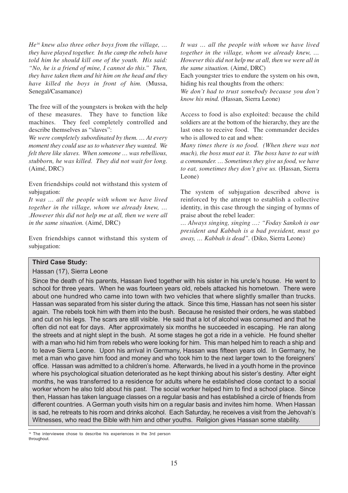*He16 knew also three other boys from the village, … they have played together. In the camp the rebels have told him he should kill one of the youth. His said: "No, he is a friend of mine, I cannot do this." Then, they have taken them and hit him on the head and they have killed the boys in front of him.* (Mussa, Senegal/Casamance)

The free will of the youngsters is broken with the help of these measures. They have to function like machines. They feel completely controlled and describe themselves as "slaves":

*We were completely subordinated by them. … At every moment they could use us to whatever they wanted. We felt there like slaves. When someone … was rebellious, stubborn, he was killed. They did not wait for long.* (Aimé, DRC)

Even friendships could not withstand this system of subjugation:

*It was … all the people with whom we have lived together in the village, whom we already knew, … .However this did not help me at all, then we were all in the same situation.* (Aimé, DRC)

Even friendships cannot withstand this system of subjugation:

*It was … all the people with whom we have lived together in the village, whom we already knew, … However this did not help me at all, then we were all in the same situation.* (Aimé, DRC)

Each youngster tries to endure the system on his own, hiding his real thoughts from the others:

*We don't had to trust somebody because you don't know his mind.* (Hassan, Sierra Leone)

Access to food is also exploited: because the child soldiers are at the bottom of the hierarchy, they are the last ones to receive food. The commander decides who is allowed to eat and when:

*Many times there is no food. (When there was not much), the boss must eat it. The boss have to eat with a commander. … Sometimes they give us food, we have to eat, sometimes they don't give us.* (Hassan, Sierra Leone)

The system of subjugation described above is reinforced by the attempt to establish a collective identity, in this case through the singing of hymns of praise about the rebel leader:

*… Always singing, singing …: "Foday Sankoh is our president and Kabbah is a bad president, must go away, … Kabbah is dead".* (Diko, Sierra Leone)

#### **Third Case Study:**

#### Hassan (17), Sierra Leone

Since the death of his parents, Hassan lived together with his sister in his uncle's house. He went to school for three years. When he was fourteen years old, rebels attacked his hometown. There were about one hundred who came into town with two vehicles that where slightly smaller than trucks. Hassan was separated from his sister during the attack. Since this time, Hassan has not seen his sister again. The rebels took him with them into the bush. Because he resisted their orders, he was stabbed and cut on his legs. The scars are still visible. He said that a lot of alcohol was consumed and that he often did not eat for days. After approximately six months he succeeded in escaping. He ran along the streets and at night slept in the bush. At some stages he got a ride in a vehicle. He found shelter with a man who hid him from rebels who were looking for him. This man helped him to reach a ship and to leave Sierra Leone. Upon his arrival in Germany, Hassan was fifteen years old. In Germany, he met a man who gave him food and money and who took him to the next larger town to the foreigners' office. Hassan was admitted to a children's home. Afterwards, he lived in a youth home in the province where his psychological situation deteriorated as he kept thinking about his sister's destiny. After eight months, he was transferred to a residence for adults where he established close contact to a social worker whom he also told about his past. The social worker helped him to find a school place. Since then, Hassan has taken language classes on a regular basis and has established a circle of friends from different countries. A German youth visits him on a regular basis and invites him home. When Hassan is sad, he retreats to his room and drinks alcohol. Each Saturday, he receives a visit from the Jehovah's Witnesses, who read the Bible with him and other youths. Religion gives Hassan some stability.

<sup>16</sup> The interviewee chose to describe his experiences in the 3rd person throughout.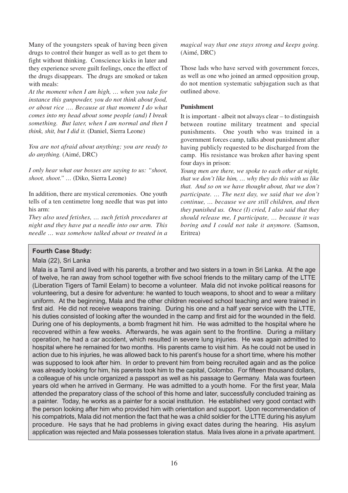Many of the youngsters speak of having been given drugs to control their hunger as well as to get them to fight without thinking. Conscience kicks in later and they experience severe guilt feelings, once the effect of the drugs disappears. The drugs are smoked or taken with meals:

*At the moment when I am high, … when you take for instance this gunpowder, you do not think about food, or about rice …. Because at that moment I do what comes into my head about some people (and) I break something. But later, when I am normal and then I think, shit, but I did it.* (Daniel, Sierra Leone)

*You are not afraid about anything; you are ready to do anything.* (Aimé, DRC)

*I only hear what our bosses are saying to us: "shoot, shoot, shoot." …* (Diko, Sierra Leone)

In addition, there are mystical ceremonies. One youth tells of a ten centimetre long needle that was put into his arm:

*They also used fetishes, … such fetish procedures at night and they have put a needle into our arm. This needle … was somehow talked about or treated in a* *magical way that one stays strong and keeps going.* (Aimé, DRC)

Those lads who have served with government forces, as well as one who joined an armed opposition group, do not mention systematic subjugation such as that outlined above.

#### **Punishment**

It is important - albeit not always clear – to distinguish between routine military treatment and special punishments. One youth who was trained in a government forces camp, talks about punishment after having publicly requested to be discharged from the camp. His resistance was broken after having spent four days in prison:

*Young men are there, we spoke to each other at night, that we don't like him, … why they do this with us like that. And so on we have thought about, that we don't participate. … The next day, we said that we don't continue, … because we are still children, and then they punished us. Once (I) cried, I also said that they should release me, I participate, … because it was boring and I could not take it anymore.* (Samson, Eritrea)

#### **Fourth Case Study:**

Mala (22), Sri Lanka

Mala is a Tamil and lived with his parents, a brother and two sisters in a town in Sri Lanka. At the age of twelve, he ran away from school together with five school friends to the military camp of the LTTE (Liberation Tigers of Tamil Eelam) to become a volunteer. Mala did not invoke political reasons for volunteering, but a desire for adventure: he wanted to touch weapons, to shoot and to wear a military uniform. At the beginning, Mala and the other children received school teaching and were trained in first aid. He did not receive weapons training. During his one and a half year service with the LTTE, his duties consisted of looking after the wounded in the camp and first aid for the wounded in the field. During one of his deployments, a bomb fragment hit him. He was admitted to the hospital where he recovered within a few weeks. Afterwards, he was again sent to the frontline. During a military operation, he had a car accident, which resulted in severe lung injuries. He was again admitted to hospital where he remained for two months. His parents came to visit him. As he could not be used in action due to his injuries, he was allowed back to his parent's house for a short time, where his mother was supposed to look after him. In order to prevent him from being recruited again and as the police was already looking for him, his parents took him to the capital, Colombo. For fifteen thousand dollars, a colleague of his uncle organized a passport as well as his passage to Germany. Mala was fourteen years old when he arrived in Germany. He was admitted to a youth home. For the first year, Mala attended the preparatory class of the school of this home and later, successfully concluded training as a painter. Today, he works as a painter for a social institution. He established very good contact with the person looking after him who provided him with orientation and support. Upon recommendation of his compatriots, Mala did not mention the fact that he was a child soldier for the LTTE during his asylum procedure. He says that he had problems in giving exact dates during the hearing. His asylum application was rejected and Mala possesses toleration status. Mala lives alone in a private apartment.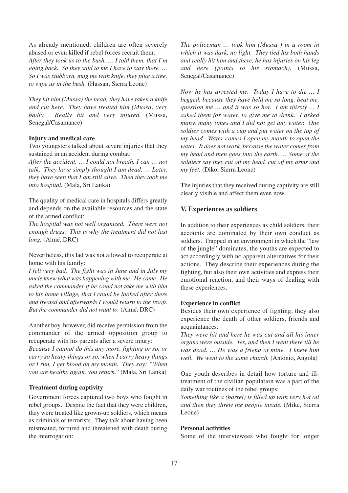As already mentioned, children are often severely abused or even killed if rebel forces recruit them: *After they took us to the bush, … I told them, that I'm going back. So they said to me I have to stay there. … So I was stubborn, mug me with knife, they plug a tree, to wipe us in the bush.* (Hassan, Sierra Leone)

*They hit him (Mussa) the head, they have taken a knife and cut here. They have treated him (Mussa) very badly. Really hit and very injured.* (Mussa, Senegal/Casamance)

#### **Injury and medical care**

Two youngsters talked about severe injuries that they sustained in an accident during combat:

*After the accident, … I could not breath, I can … not talk. They have simply thought I am dead. … Later, they have seen that I am still alive. Then they took me into hospital.* (Mala, Sri Lanka)

The quality of medical care in hospitals differs greatly and depends on the available resources and the state of the armed conflict:

*The hospital was not well organized. There were not enough drugs. This is why the treatment did not last long.* (Aimé, DRC)

Nevertheless, this lad was not allowed to recuperate at home with his family:

*I felt very bad. The fight was in June and in July my uncle knew what was happening with me. He came. He asked the commander if he could not take me with him to his home village, that I could be looked after there and treated and afterwards I would return to the troop. But the commander did not want to.* (Aimé, DRC)

Another boy, however, did receive permission from the commander of the armed opposition group to recuperate with his parents after a severe injury:

*Because I cannot do this any more, fighting or so, or carry so heavy things or so, when I carry heavy things or I run, I get blood on my mouth. They say: "When you are healthy again, you return."* (Mala, Sri Lanka)

#### **Treatment during captivity**

Government forces captured two boys who fought in rebel groups. Despite the fact that they were children, they were treated like grown-up soldiers, which means as criminals or terrorists. They talk about having been mistreated, tortured and threatened with death during the interrogation:

*The policeman … took him (Mussa ) in a room in which it was dark, no light. They tied his both hands and really hit him and there, he has injuries on his leg and here (points to his stomach).* (Mussa, Senegal/Casamance)

*Now he has arrested me. Today I have to die … I begged, because they have held me so long, beat me, question me … and it was so hot. I am thirsty … I asked them for water, to give me to drink. I asked many, many times and I did not get any water. One soldier comes with a cup and put water on the top of my head. Water comes I open my mouth to open the water. It does not work, because the water comes from my head and then goes into the earth. … Some of the soldiers say they cut off my head, cut off my arms and my feet.* (Diko, Sierra Leone)

The injuries that they received during captivity are still clearly visible and affect them even now.

#### **V. Experiences as soldiers**

In addition to their experiences as child soldiers, their accounts are dominated by their own conduct as soldiers. Trapped in an environment in which the "law of the jungle" dominates, the youths are expected to act accordingly with no apparent alternatives for their actions. They describe their experiences during the fighting, but also their own activities and express their emotional reaction, and their ways of dealing with these experiences.

#### **Experience in conflict**

Besides their own experience of fighting, they also experience the death of other soldiers, friends and acquaintances:

*They were hit and here he was cut and all his inner organs were outside. Yes, and then I went there till he was dead. … He was a friend of mine. I knew him well. We went to the same church.* (Antonio, Angola)

One youth describes in detail how torture and illtreatment of the civilian population was a part of the daily war routines of the rebel groups:

*Something like a (barrel) is filled up with very hot oil and then they threw the people inside.* (Mike, Sierra Leone)

#### **Personal activities**

Some of the interviewees who fought for longer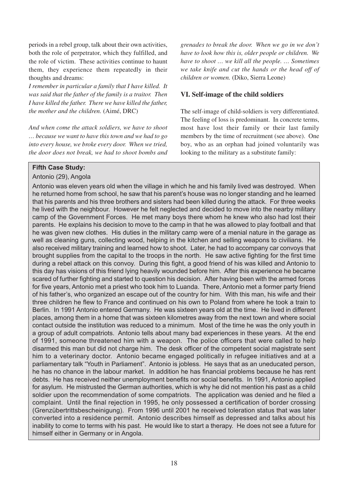periods in a rebel group, talk about their own activities, both the role of perpetrator, which they fulfilled, and the role of victim. These activities continue to haunt them, they experience them repeatedly in their thoughts and dreams:

*I remember in particular a family that I have killed. It was said that the father of the family is a traitor. Then I have killed the father. There we have killed the father, the mother and the children.* (Aimé, DRC)

*And when come the attack soldiers, we have to shoot … because we want to have this town and we had to go into every house, we broke every door. When we tried, the door does not break, we had to shoot bombs and* *grenades to break the door. When we go in we don't have to look how this is, older people or children. We have to shoot … we kill all the people. … Sometimes we take knife and cut the hands or the head off of children or women.* (Diko, Sierra Leone)

#### **VI. Self-image of the child soldiers**

The self-image of child-soldiers is very differentiated. The feeling of loss is predominant. In concrete terms, most have lost their family or their last family members by the time of recruitment (see above). One boy, who as an orphan had joined voluntarily was looking to the military as a substitute family:

#### **Fifth Case Study:**

#### Antonio (29), Angola

Antonio was eleven years old when the village in which he and his family lived was destroyed. When he returned home from school, he saw that his parent's house was no longer standing and he learned that his parents and his three brothers and sisters had been killed during the attack. For three weeks he lived with the neighbour. However he felt neglected and decided to move into the nearby military camp of the Government Forces. He met many boys there whom he knew who also had lost their parents. He explains his decision to move to the camp in that he was allowed to play football and that he was given new clothes. His duties in the military camp were of a menial nature in the garage as well as cleaning guns, collecting wood, helping in the kitchen and selling weapons to civilians. He also received military training and learned how to shoot. Later, he had to accompany car convoys that brought supplies from the capital to the troops in the north. He saw active fighting for the first time during a rebel attack on this convoy. During this fight, a good friend of his was killed and Antonio to this day has visions of this friend lying heavily wounded before him. After this experience he became scared of further fighting and started to question his decision. After having been with the armed forces for five years, Antonio met a priest who took him to Luanda. There, Antonio met a former party friend of his father's, who organized an escape out of the country for him. With this man, his wife and their three children he flew to France and continued on his own to Poland from where he took a train to Berlin. In 1991 Antonio entered Germany. He was sixteen years old at the time. He lived in different places, among them in a home that was sixteen kilometres away from the next town and where social contact outside the institution was reduced to a minimum. Most of the time he was the only youth in a group of adult compatriots. Antonio tells about many bad experiences in these years. At the end of 1991, someone threatened him with a weapon. The police officers that were called to help disarmed this man but did not charge him. The desk officer of the competent social magistrate sent him to a veterinary doctor. Antonio became engaged politically in refugee initiatives and at a parliamentary talk "Youth in Parliament". Antonio is jobless. He says that as an uneducated person, he has no chance in the labour market. In addition he has financial problems because he has rent debts. He has received neither unemployment benefits nor social benefits. In 1991, Antonio applied for asylum. He mistrusted the German authorities, which is why he did not mention his past as a child soldier upon the recommendation of some compatriots. The application was denied and he filed a complaint. Until the final rejection in 1995, he only possessed a certification of border crossing (Grenzübertrittsbescheinigung). From 1996 until 2001 he received toleration status that was later converted into a residence permit. Antonio describes himself as depressed and talks about his inability to come to terms with his past. He would like to start a therapy. He does not see a future for himself either in Germany or in Angola.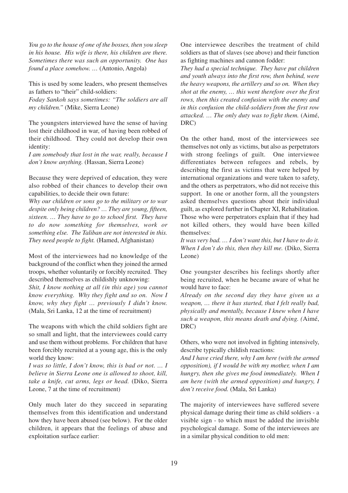*You go to the house of one of the bosses, then you sleep in his house. His wife is there, his children are there. Sometimes there was such an opportunity. One has found a place somehow. …* (Antonio, Angola)

This is used by some leaders, who present themselves as fathers to "their" child-soldiers:

*Foday Sankoh says sometimes: "The soldiers are all my children."* (Mike, Sierra Leone)

The youngsters interviewed have the sense of having lost their childhood in war, of having been robbed of their childhood. They could not develop their own identity:

*I am somebody that lost in the war, really, because I don't know anything.* (Hassan, Sierra Leone)

Because they were deprived of education, they were also robbed of their chances to develop their own capabilities, to decide their own future:

*Why our children or sons go to the military or to war despite only being children? … They are young, fifteen, sixteen. … They have to go to school first. They have to do now something for themselves, work or something else. The Taliban are not interested in this. They need people to fight.* (Hamed, Afghanistan)

Most of the interviewees had no knowledge of the background of the conflict when they joined the armed troops, whether voluntarily or forcibly recruited. They described themselves as childishly unknowing:

*Shit, I know nothing at all (in this age) you cannot know everything. Why they fight and so on. Now I know, why they fight … previously I didn't know.* (Mala, Sri Lanka, 12 at the time of recruitment)

The weapons with which the child soldiers fight are so small and light, that the interviewees could carry and use them without problems. For children that have been forcibly recruited at a young age, this is the only world they know:

*I was so little, I don't know, this is bad or not. … I believe in Sierra Leone one is allowed to shoot, kill, take a knife, cut arms, legs or head.* (Diko, Sierra Leone, 7 at the time of recruitment)

Only much later do they succeed in separating themselves from this identification and understand how they have been abused (see below). For the older children, it appears that the feelings of abuse and exploitation surface earlier:

One interviewee describes the treatment of child soldiers as that of slaves (see above) and their function as fighting machines and cannon fodder:

*They had a special technique. They have put children and youth always into the first row, then behind, were the heavy weapons, the artillery and so on. When they shot at the enemy, … this went therefore over the first rows, then this created confusion with the enemy and in this confusion the child-soldiers from the first row attacked. … The only duty was to fight them.* (Aimé, DRC)

On the other hand, most of the interviewees see themselves not only as victims, but also as perpetrators with strong feelings of guilt. One interviewee differentiates between refugees and rebels, by describing the first as victims that were helped by international organizations and were taken to safety, and the others as perpetrators, who did not receive this support. In one or another form, all the youngsters asked themselves questions about their individual guilt, as explored further in Chapter XI, Rehabilitation. Those who were perpetrators explain that if they had not killed others, they would have been killed themselves:

*It was very bad. … I don't want this, but I have to do it. When I don't do this, then they kill me.* (Diko, Sierra) Leone)

One youngster describes his feelings shortly after being recruited, when he became aware of what he would have to face:

*Already on the second day they have given us a weapon, … there it has started, that I felt really bad, physically and mentally, because I knew when I have such a weapon, this means death and dying. (*Aimé, DRC)

Others, who were not involved in fighting intensively, describe typically childish reactions:

*And I have cried there, why I am here (with the armed opposition), if I would be with my mother, when I am hungry, then she gives me food immediately. When I am here (with the armed opposition) and hungry, I don't receive food.* (Mala, Sri Lanka)

The majority of interviewees have suffered severe physical damage during their time as child soldiers - a visible sign - to which must be added the invisible psychological damage. Some of the interviewees are in a similar physical condition to old men: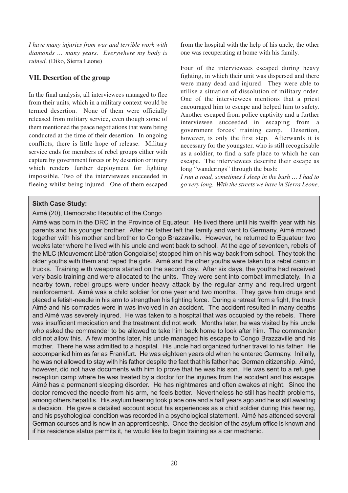*I have many injuries from war and terrible work with diamonds … many years. Everywhere my body is ruined.* (Diko, Sierra Leone)

#### **VII. Desertion of the group**

In the final analysis, all interviewees managed to flee from their units, which in a military context would be termed desertion. None of them were officially released from military service, even though some of them mentioned the peace negotiations that were being conducted at the time of their desertion. In ongoing conflicts, there is little hope of release. Military service ends for members of rebel groups either with capture by government forces or by desertion or injury which renders further deployment for fighting impossible. Two of the interviewees succeeded in fleeing whilst being injured. One of them escaped from the hospital with the help of his uncle, the other one was recuperating at home with his family.

Four of the interviewees escaped during heavy fighting, in which their unit was dispersed and there were many dead and injured. They were able to utilise a situation of dissolution of military order. One of the interviewees mentions that a priest encouraged him to escape and helped him to safety. Another escaped from police captivity and a further interviewee succeeded in escaping from a government forces' training camp. Desertion, however, is only the first step. Afterwards it is necessary for the youngster, who is still recognisable as a soldier, to find a safe place to which he can escape. The interviewees describe their escape as long "wanderings" through the bush:

*I run a road, sometimes I sleep in the bush … I had to go very long. With the streets we have in Sierra Leone,*

#### **Sixth Case Study:**

#### Aimé (20), Democratic Republic of the Congo

Aimé was born in the DRC in the Province of Equateur. He lived there until his twelfth year with his parents and his younger brother. After his father left the family and went to Germany, Aimé moved together with his mother and brother to Congo Brazzaville. However, he returned to Equateur two weeks later where he lived with his uncle and went back to school. At the age of seventeen, rebels of the MLC (Mouvement Libération Congolaise) stopped him on his way back from school. They took the older youths with them and raped the girls. Aimé and the other youths were taken to a rebel camp in trucks. Training with weapons started on the second day. After six days, the youths had received very basic training and were allocated to the units. They were sent into combat immediately. In a nearby town, rebel groups were under heavy attack by the regular army and required urgent reinforcement. Aimé was a child soldier for one year and two months. They gave him drugs and placed a fetish-needle in his arm to strengthen his fighting force. During a retreat from a fight, the truck Aimé and his comrades were in was involved in an accident. The accident resulted in many deaths and Aimé was severely injured. He was taken to a hospital that was occupied by the rebels. There was insufficient medication and the treatment did not work. Months later, he was visited by his uncle who asked the commander to be allowed to take him back home to look after him. The commander did not allow this. A few months later, his uncle managed his escape to Congo Brazzaville and his mother. There he was admitted to a hospital. His uncle had organized further travel to his father. He accompanied him as far as Frankfurt. He was eighteen years old when he entered Germany. Initially, he was not allowed to stay with his father despite the fact that his father had German citizenship. Aimé, however, did not have documents with him to prove that he was his son. He was sent to a refugee reception camp where he was treated by a doctor for the injuries from the accident and his escape. Aimé has a permanent sleeping disorder. He has nightmares and often awakes at night. Since the doctor removed the needle from his arm, he feels better. Nevertheless he still has health problems, among others hepatitis. His asylum hearing took place one and a half years ago and he is still awaiting a decision. He gave a detailed account about his experiences as a child soldier during this hearing, and his psychological condition was recorded in a psychological statement. Aimé has attended several German courses and is now in an apprenticeship. Once the decision of the asylum office is known and if his residence status permits it, he would like to begin training as a car mechanic.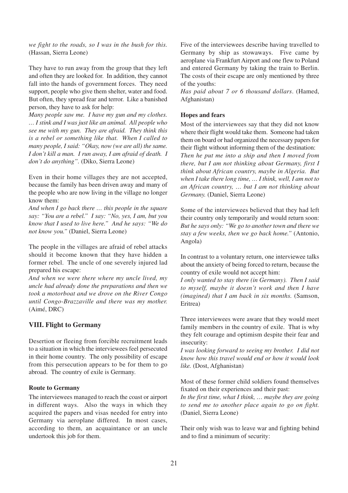*we fight to the roads, so I was in the bush for this.* (Hassan, Sierra Leone)

They have to run away from the group that they left and often they are looked for. In addition, they cannot fall into the hands of government forces. They need support, people who give them shelter, water and food. But often, they spread fear and terror. Like a banished person, they have to ask for help:

*Many people saw me. I have my gun and my clothes. … I stink and I was just like an animal. All people who see me with my gun. They are afraid. They think this is a rebel or something like that. When I called to many people, I said: "Okay, now (we are all) the same. I don't kill a man. I run away, I am afraid of death. I don't do anything".* (Diko, Sierra Leone)

Even in their home villages they are not accepted, because the family has been driven away and many of the people who are now living in the village no longer know them:

*And when I go back there … this people in the square say: "You are a rebel." I say: "No, yes, I am, but you know that I used to live here." And he says: "We do not know you."* (Daniel, Sierra Leone)

The people in the villages are afraid of rebel attacks should it become known that they have hidden a former rebel. The uncle of one severely injured lad prepared his escape:

*And when we were there where my uncle lived, my uncle had already done the preparations and then we took a motorboat and we drove on the River Congo until Congo-Brazzaville and there was my mother.* (Aimé, DRC)

#### **VIII. Flight to Germany**

Desertion or fleeing from forcible recruitment leads to a situation in which the interviewees feel persecuted in their home country. The only possibility of escape from this persecution appears to be for them to go abroad. The country of exile is Germany.

#### **Route to Germany**

The interviewees managed to reach the coast or airport in different ways. Also the ways in which they acquired the papers and visas needed for entry into Germany via aeroplane differed. In most cases, according to them, an acquaintance or an uncle undertook this job for them.

Five of the interviewees describe having travelled to Germany by ship as stowaways. Five came by aeroplane via Frankfurt Airport and one flew to Poland and entered Germany by taking the train to Berlin. The costs of their escape are only mentioned by three of the youths:

*Has paid about 7 or 6 thousand dollars*. (Hamed, Afghanistan)

#### **Hopes and fears**

Most of the interviewees say that they did not know where their flight would take them. Someone had taken them on board or had organized the necessary papers for their flight without informing them of the destination: *Then he put me into a ship and then I moved from there, but I am not thinking about Germany, first I think about African country, maybe in Algeria. But when I take there long time, … I think, well, I am not to an African country, … but I am not thinking about Germany.* (Daniel, Sierra Leone)

Some of the interviewees believed that they had left their country only temporarily and would return soon: *But he says only: "We go to another town and there we stay a few weeks, then we go back home."* (Antonio, Angola)

In contrast to a voluntary return, one interviewee talks about the anxiety of being forced to return, because the country of exile would not accept him:

*I only wanted to stay there (in Germany). Then I said to myself, maybe it doesn't work and then I have (imagined) that I am back in six months.* (Samson, Eritrea)

Three interviewees were aware that they would meet family members in the country of exile. That is why they felt courage and optimism despite their fear and insecurity:

*I was looking forward to seeing my brother. I did not know how this travel would end or how it would look like.* (Dost, Afghanistan)

Most of these former child soldiers found themselves fixated on their experiences and their past:

*In the first time, what I think, … maybe they are going to send me to another place again to go on fight.* (Daniel, Sierra Leone)

Their only wish was to leave war and fighting behind and to find a minimum of security: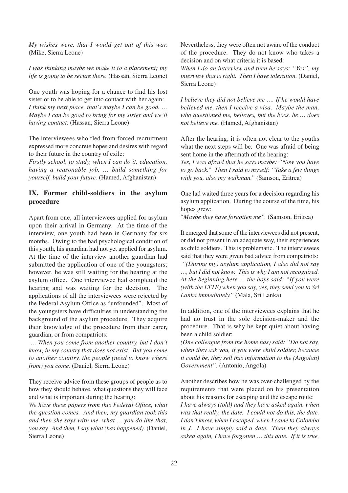*My wishes were, that I would get out of this war.* (Mike, Sierra Leone)

*I was thinking maybe we make it to a placement; my life is going to be secure there.* (Hassan, Sierra Leone)

One youth was hoping for a chance to find his lost sister or to be able to get into contact with her again: *I think my next place, that's maybe I can be good. … Maybe I can be good to bring for my sister and we'll having contact.* (Hassan, Sierra Leone)

The interviewees who fled from forced recruitment expressed more concrete hopes and desires with regard to their future in the country of exile:

*Firstly school, to study, when I can do it, education, having a reasonable job, … build something for yourself, build your future.* (Hamed, Afghanistan)

#### **IX. Former child-soldiers in the asylum procedure**

Apart from one, all interviewees applied for asylum upon their arrival in Germany. At the time of the interview, one youth had been in Germany for six months. Owing to the bad psychological condition of this youth, his guardian had not yet applied for asylum. At the time of the interview another guardian had submitted the application of one of the youngsters; however, he was still waiting for the hearing at the asylum office. One interviewee had completed the hearing and was waiting for the decision. The applications of all the interviewees were rejected by the Federal Asylum Office as "unfounded". Most of the youngsters have difficulties in understanding the background of the asylum procedure. They acquire their knowledge of the procedure from their carer, guardian, or from compatriots:

*… When you come from another country, but I don't know, in my country that does not exist. But you come to another country, the people (need to know where from) you come.* (Daniel, Sierra Leone)

They receive advice from these groups of people as to how they should behave, what questions they will face and what is important during the hearing:

*We have these papers from this Federal Office, what the question comes. And then, my guardian took this and then she says with me, what … you do like that, you say. And then, I say what (has happened).* (Daniel, Sierra Leone)

Nevertheless, they were often not aware of the conduct of the procedure. They do not know who takes a decision and on what criteria it is based:

*When I do an interview and then he says: "Yes", my interview that is right. Then I have toleration.* (Daniel, Sierra Leone)

*I believe they did not believe me …. If he would have believed me, then I receive a visa. Maybe the man, who questioned me, believes, but the boss, he … does not believe me.* (Hamed, Afghanistan)

After the hearing, it is often not clear to the youths what the next steps will be. One was afraid of being sent home in the aftermath of the hearing:

*Yes, I was afraid that he says maybe: "Now you have to go back." Then I said to myself: "Take a few things with you, also my walkman."* (Samson, Eritrea)

One lad waited three years for a decision regarding his asylum application. During the course of the time, his hopes grew:

"*Maybe they have forgotten me".* (Samson, Eritrea)

It emerged that some of the interviewees did not present, or did not present in an adequate way, their experiences as child soldiers. This is problematic. The interviewees said that they were given bad advice from compatriots:

*"(During my) asylum application, I also did not say …, but I did not know. This is why I am not recognized. At the beginning here … the boys said: "If you were (with the LTTE) when you say, yes, they send you to Sri Lanka immediately."* (Mala, Sri Lanka)

In addition, one of the interviewees explains that he had no trust in the sole decision-maker and the procedure. That is why he kept quiet about having been a child soldier:

*(One colleague from the home has) said: "Do not say, when they ask you, if you were child soldier, because it could be, they sell this information to the (Angolan) Government".* (Antonio, Angola)

Another describes how he was over-challenged by the requirements that were placed on his presentation about his reasons for escaping and the escape route:

*I have always (told) and they have asked again, when was that really, the date. I could not do this, the date. I don't know, when I escaped, when I came to Colombo in J. I have simply said a date. Then they always asked again, I have forgotten … this date. If it is true,*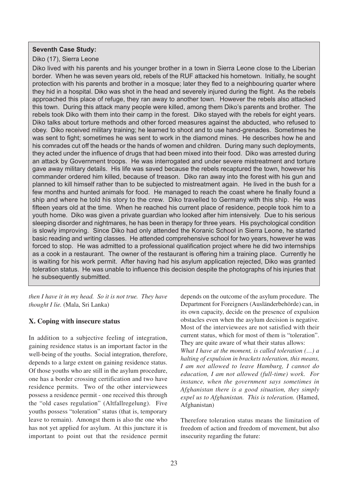#### **Seventh Case Study:**

#### Diko (17), Sierra Leone

Diko lived with his parents and his younger brother in a town in Sierra Leone close to the Liberian border. When he was seven years old, rebels of the RUF attacked his hometown. Initially, he sought protection with his parents and brother in a mosque; later they fled to a neighbouring quarter where they hid in a hospital. Diko was shot in the head and severely injured during the flight. As the rebels approached this place of refuge, they ran away to another town. However the rebels also attacked this town. During this attack many people were killed, among them Diko's parents and brother. The rebels took Diko with them into their camp in the forest. Diko stayed with the rebels for eight years. Diko talks about torture methods and other forced measures against the abducted, who refused to obey. Diko received military training; he learned to shoot and to use hand-grenades. Sometimes he was sent to fight; sometimes he was sent to work in the diamond mines. He describes how he and his comrades cut off the heads or the hands of women and children. During many such deployments, they acted under the influence of drugs that had been mixed into their food. Diko was arrested during an attack by Government troops. He was interrogated and under severe mistreatment and torture gave away military details. His life was saved because the rebels recaptured the town, however his commander ordered him killed, because of treason. Diko ran away into the forest with his gun and planned to kill himself rather than to be subjected to mistreatment again. He lived in the bush for a few months and hunted animals for food. He managed to reach the coast where he finally found a ship and where he told his story to the crew. Diko travelled to Germany with this ship. He was fifteen years old at the time. When he reached his current place of residence, people took him to a youth home. Diko was given a private guardian who looked after him intensively. Due to his serious sleeping disorder and nightmares, he has been in therapy for three years. His psychological condition is slowly improving. Since Diko had only attended the Koranic School in Sierra Leone, he started basic reading and writing classes. He attended comprehensive school for two years, however he was forced to stop. He was admitted to a professional qualification project where he did two internships as a cook in a restaurant. The owner of the restaurant is offering him a training place. Currently he is waiting for his work permit. After having had his asylum application rejected, Diko was granted toleration status. He was unable to influence this decision despite the photographs of his injuries that he subsequently submitted.

*then I have it in my head. So it is not true. They have thought I lie.* (Mala, Sri Lanka)

#### **X. Coping with insecure status**

In addition to a subjective feeling of integration, gaining residence status is an important factor in the well-being of the youths. Social integration, therefore, depends to a large extent on gaining residence status. Of those youths who are still in the asylum procedure, one has a border crossing certification and two have residence permits. Two of the other interviewees possess a residence permit - one received this through the "old cases regulation" (Altfallregelung). Five youths possess "toleration" status (that is, temporary leave to remain). Amongst them is also the one who has not yet applied for asylum. At this juncture it is important to point out that the residence permit depends on the outcome of the asylum procedure. The Department for Foreigners (Ausländerbehörde) can, in its own capacity, decide on the presence of expulsion obstacles even when the asylum decision is negative. Most of the interviewees are not satisfied with their current status, which for most of them is "toleration". They are quite aware of what their status allows:

*What I have at the moment, is called toleration (…) a halting of expulsion in brackets toleration, this means, I am not allowed to leave Hamburg, I cannot do education, I am not allowed (full-time) work. For instance, when the government says sometimes in Afghanistan there is a good situation, they simply expel us to Afghanistan. This is toleration.* (Hamed, Afghanistan)

Therefore toleration status means the limitation of freedom of action and freedom of movement, but also insecurity regarding the future: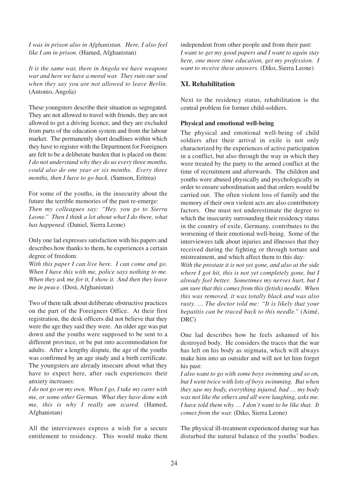*I was in prison also in Afghanistan. Here, I also feel like I am in prison.* (Hamed, Afghanistan)

*It is the same war, there in Angola we have weapons war and here we have a moral war. They ruin our soul when they say you are not allowed to leave Berlin.* (Antonio, Angola)

These youngsters describe their situation as segregated. They are not allowed to travel with friends, they are not allowed to get a driving licence, and they are excluded from parts of the education system and from the labour market. The permanently short deadlines within which they have to register with the Department for Foreigners are felt to be a deliberate burden that is placed on them: *I do not understand why they do us every three months, could also do one year or six months. Every three months, then I have to go back.* (Samson, Eritrea)

For some of the youths, in the insecurity about the future the terrible memories of the past re-emerge: *Then my colleagues say: "Hey, you go to Sierra Leone." Then I think a lot about what I do there, what has happened.* (Daniel, Sierra Leone)

Only one lad expresses satisfaction with his papers and describes how thanks to them, he experiences a certain degree of freedom:

*With this paper I can live here. I can come and go. When I have this with me, police says nothing to me. When they ask me for it, I show it. And then they leave me in peace.* (Dost, Afghanistan)

Two of them talk about deliberate obstructive practices on the part of the Foreigners Office. At their first registration, the desk officers did not believe that they were the age they said they were. An older age was put down and the youths were supposed to be sent to a different province, or be put into accommodation for adults. After a lengthy dispute, the age of the youths was confirmed by an age study and a birth certificate. The youngsters are already insecure about what they have to expect here, after such experiences their anxiety increases:

*I do not go on my own. When I go, I take my carer with me, or some other German. What they have done with me, this is why I really am scared.* (Hamed, Afghanistan)

All the interviewees express a wish for a secure entitlement to residency. This would make them independent from other people and from their past: *I want to get my good papers and I want to again stay here, one more time education, get my profession. I want to receive these answers.* (Diko, Sierra Leone)

#### **XI. Rehabilitation**

Next to the residency status, rehabilitation is the central problem for former child-soldiers.

#### **Physical and emotional well-being**

The physical and emotional well-being of child soldiers after their arrival in exile is not only characterized by the experiences of active participation in a conflict, but also through the way in which they were treated by the party to the armed conflict at the time of recruitment and afterwards. The children and youths were abused physically and psychologically in order to ensure subordination and that orders would be carried out. The often violent loss of family and the memory of their own violent acts are also contributory factors. One must not underestimate the degree to which the insecurity surrounding their residency status in the country of exile, Germany, contributes to the worsening of their emotional well-being. Some of the interviewees talk about injuries and illnesses that they received during the fighting or through torture and mistreatment, and which affect them to this day: *With the prostate it is not yet gone, and also at the side where I got hit, this is not yet completely gone, but I*

*already feel better. Sometimes my nerves hurt, but I am sure that this comes from this (fetish) needle. When this was removed, it was totally black and was also rusty. … The doctor told me: "It is likely that your hepatitis can be traced back to this needle."* (Aimé,  $DRC$ 

One lad describes how he feels ashamed of his destroyed body. He considers the traces that the war has left on his body as stigmata, which will always make him into an outsider and will not let him forget his past:

*I also want to go with some boys swimming and so on, but I went twice with lots of boys swimming. But when they saw my body, everything injured, bad … my body was not like the others and all were laughing, asks me. I have told them why … I don't want to be like that. It comes from the war.* (Diko, Sierra Leone)

The physical ill-treatment experienced during war has disturbed the natural balance of the youths' bodies.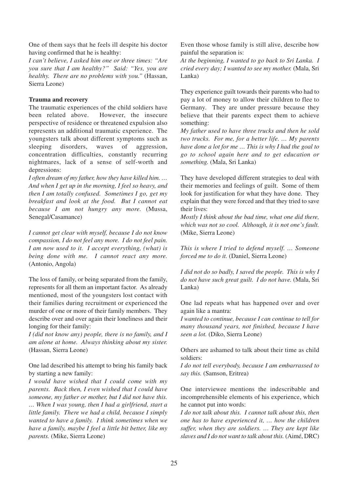One of them says that he feels ill despite his doctor having confirmed that he is healthy:

*I can't believe, I asked him one or three times: "Are you sure that I am healthy?" Said: "Yes, you are healthy. There are no problems with you."* (Hassan, Sierra Leone)

#### **Trauma and recovery**

The traumatic experiences of the child soldiers have been related above. However, the insecure perspective of residence or threatened expulsion also represents an additional traumatic experience. The youngsters talk about different symptoms such as sleeping disorders, waves of aggression, concentration difficulties, constantly recurring nightmares, lack of a sense of self-worth and depressions:

*I often dream of my father, how they have killed him. … And when I get up in the morning, I feel so heavy, and then I am totally confused. Sometimes I go, get my breakfast and look at the food. But I cannot eat because I am not hungry any more.* (Mussa, Senegal/Casamance)

*I cannot get clear with myself, because I do not know compassion, I do not feel any more. I do not feel pain. I am now used to it. I accept everything, (what) is being done with me. I cannot react any more.* (Antonio, Angola)

The loss of family, or being separated from the family, represents for all them an important factor. As already mentioned, most of the youngsters lost contact with their families during recruitment or experienced the murder of one or more of their family members. They describe over and over again their loneliness and their longing for their family:

*I (did not know any) people, there is no family, and I am alone at home. Always thinking about my sister.* (Hassan, Sierra Leone)

One lad described his attempt to bring his family back by starting a new family:

*I would have wished that I could come with my parents. Back then, I even wished that I could have someone, my father or mother, but I did not have this. … When I was young, then I had a girlfriend, start a little family. There we had a child, because I simply wanted to have a family. I think sometimes when we have a family, maybe I feel a little bit better, like my parents.* (Mike, Sierra Leone)

Even those whose family is still alive, describe how painful the separation is:

*At the beginning, I wanted to go back to Sri Lanka. I cried every day; I wanted to see my mother.* (Mala, Sri Lanka)

They experience guilt towards their parents who had to pay a lot of money to allow their children to flee to Germany. They are under pressure because they believe that their parents expect them to achieve something:

*My father used to have three trucks and then he sold two trucks. For me, for a better life. … My parents have done a lot for me … This is why I had the goal to go to school again here and to get education or something.* (Mala, Sri Lanka)

They have developed different strategies to deal with their memories and feelings of guilt. Some of them look for justification for what they have done. They explain that they were forced and that they tried to save their lives:

*Mostly I think about the bad time, what one did there, which was not so cool. Although, it is not one's fault.* (Mike, Sierra Leone)

*This is where I tried to defend myself. … Someone forced me to do it.* (Daniel, Sierra Leone)

*I did not do so badly, I saved the people. This is why I do not have such great guilt. I do not have.* (Mala, Sri Lanka)

One lad repeats what has happened over and over again like a mantra:

*I wanted to continue, because I can continue to tell for many thousand years, not finished, because I have seen a lot.* (Diko, Sierra Leone)

Others are ashamed to talk about their time as child soldiers:

*I do not tell everybody, because I am embarrassed to say this.* (Samson, Eritrea)

One interviewee mentions the indescribable and incomprehensible elements of his experience, which he cannot put into words:

*I do not talk about this. I cannot talk about this, then one has to have experienced it, … how the children suffer, when they are soldiers. … They are kept like slaves and I do not want to talk about this.* (Aimé, DRC)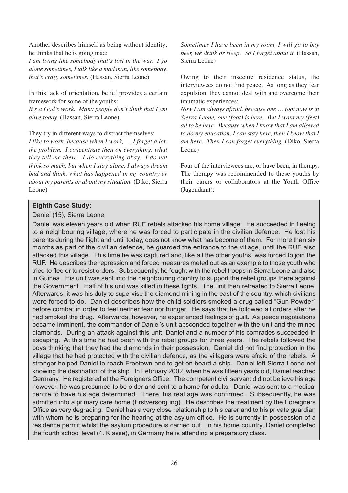Another describes himself as being without identity; he thinks that he is going mad:

*I am living like somebody that's lost in the war. I go alone sometimes, I talk like a mad man, like somebody, that's crazy sometimes.* (Hassan, Sierra Leone)

In this lack of orientation, belief provides a certain framework for some of the youths:

*It's a God's work. Many people don't think that I am alive today.* (Hassan, Sierra Leone)

They try in different ways to distract themselves:

*I like to work, because when I work, … I forget a lot, the problem. I concentrate then on everything, what they tell me there. I do everything okay. I do not think so much, but when I stay alone, I always dream bad and think, what has happened in my country or about my parents or about my situation.* (Diko, Sierra Leone)

*Sometimes I have been in my room, I will go to buy beer, we drink or sleep. So I forget about it.* (Hassan, Sierra Leone)

Owing to their insecure residence status, the interviewees do not find peace. As long as they fear expulsion, they cannot deal with and overcome their traumatic experiences:

*Now I am always afraid, because one … foot now is in Sierra Leone, one (foot) is here. But I want my (feet) all to be here. Because when I know that I am allowed to do my education, I can stay here, then I know that I am here. Then I can forget everything.* (Diko, Sierra Leone)

Four of the interviewees are, or have been, in therapy. The therapy was recommended to these youths by their carers or collaborators at the Youth Office (Jugendamt):

#### **Eighth Case Study:**

#### Daniel (15), Sierra Leone

Daniel was eleven years old when RUF rebels attacked his home village. He succeeded in fleeing to a neighbouring village, where he was forced to participate in the civilian defence. He lost his parents during the flight and until today, does not know what has become of them. For more than six months as part of the civilian defence, he guarded the entrance to the village, until the RUF also attacked this village. This time he was captured and, like all the other youths, was forced to join the RUF. He describes the repression and forced measures meted out as an example to those youth who tried to flee or to resist orders. Subsequently, he fought with the rebel troops in Sierra Leone and also in Guinea. His unit was sent into the neighbouring country to support the rebel groups there against the Government. Half of his unit was killed in these fights. The unit then retreated to Sierra Leone. Afterwards, it was his duty to supervise the diamond mining in the east of the country, which civilians were forced to do. Daniel describes how the child soldiers smoked a drug called "Gun Powder" before combat in order to feel neither fear nor hunger. He says that he followed all orders after he had smoked the drug. Afterwards, however, he experienced feelings of guilt. As peace negotiations became imminent, the commander of Daniel's unit absconded together with the unit and the mined diamonds. During an attack against this unit, Daniel and a number of his comrades succeeded in escaping. At this time he had been with the rebel groups for three years. The rebels followed the boys thinking that they had the diamonds in their possession. Daniel did not find protection in the village that he had protected with the civilian defence, as the villagers were afraid of the rebels. A stranger helped Daniel to reach Freetown and to get on board a ship. Daniel left Sierra Leone not knowing the destination of the ship. In February 2002, when he was fifteen years old, Daniel reached Germany. He registered at the Foreigners Office. The competent civil servant did not believe his age however, he was presumed to be older and sent to a home for adults. Daniel was sent to a medical centre to have his age determined. There, his real age was confirmed. Subsequently, he was admitted into a primary care home (Erstversorgung). He describes the treatment by the Foreigners Office as very degrading. Daniel has a very close relationship to his carer and to his private guardian with whom he is preparing for the hearing at the asylum office. He is currently in possession of a residence permit whilst the asylum procedure is carried out. In his home country, Daniel completed the fourth school level (4. Klasse), in Germany he is attending a preparatory class.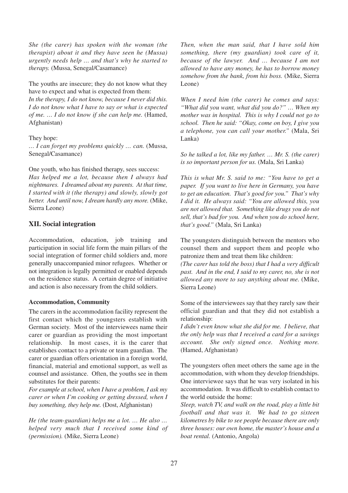*She (the carer) has spoken with the woman (the therapist) about it and they have seen he (Mussa) urgently needs help … and that's why he started to therapy.* (Mussa, Senegal/Casamance)

The youths are insecure; they do not know what they have to expect and what is expected from them: *In the therapy, I do not know, because I never did this. I do not know what I have to say or what is expected of me. … I do not know if she can help me.* (Hamed, Afghanistan)

#### They hope:

*… I can forget my problems quickly … can.* (Mussa, Senegal/Casamance)

One youth, who has finished therapy, sees success: *Has helped me a lot, because then I always had nightmares. I dreamed about my parents. At that time, I started with it (the therapy) and slowly, slowly got better. And until now, I dream hardly any more.* (Mike, Sierra Leone)

#### **XII. Social integration**

Accommodation, education, job training and participation in social life form the main pillars of the social integration of former child soldiers and, more generally unaccompanied minor refugees. Whether or not integration is legally permitted or enabled depends on the residence status. A certain degree of initiative and action is also necessary from the child soldiers.

#### **Accommodation, Community**

The carers in the accommodation facility represent the first contact which the youngsters establish with German society. Most of the interviewees name their carer or guardian as providing the most important relationship. In most cases, it is the carer that establishes contact to a private or team guardian. The carer or guardian offers orientation in a foreign world, financial, material and emotional support, as well as counsel and assistance. Often, the youths see in them substitutes for their parents:

*For example at school, when I have a problem, I ask my carer or when I'm cooking or getting dressed, when I buy something, they help me.* (Dost, Afghanistan)

*He (the team-guardian) helps me a lot. … He also … helped very much that I received some kind of (permission).* (Mike, Sierra Leone)

*Then, when the man said, that I have sold him something, there (my guardian) took care of it, because of the lawyer. And … because I am not allowed to have any money, he has to borrow money somehow from the bank, from his boss.* (Mike, Sierra Leone)

*When I need him (the carer) he comes and says: "What did you want, what did you do?" … When my mother was in hospital. This is why I could not go to school. Then he said: "Okay, come on boy, I give you a telephone, you can call your mother."* (Mala, Sri Lanka)

*So he talked a lot, like my father. … Mr. S. (the carer) is so important person for us.* (Mala, Sri Lanka)

*This is what Mr. S. said to me: "You have to get a paper. If you want to live here in Germany, you have to get an education. That's good for you." That's why I did it. He always said: "You are allowed this, you are not allowed that. Something like drugs you do not sell, that's bad for you. And when you do school here, that's good."* (Mala, Sri Lanka)

The youngsters distinguish between the mentors who counsel them and support them and people who patronize them and treat them like children:

*(The carer has told the boss) that I had a very difficult past. And in the end, I said to my carer, no, she is not allowed any more to say anything about me.* (Mike, Sierra Leone)

Some of the interviewees say that they rarely saw their official guardian and that they did not establish a relationship:

*I didn't even know what she did for me. I believe, that the only help was that I received a card for a savings account. She only signed once. Nothing more.* (Hamed, Afghanistan)

The youngsters often meet others the same age in the accommodation, with whom they develop friendships. One interviewee says that he was very isolated in his accommodation. It was difficult to establish contact to the world outside the home:

*Sleep, watch TV, and walk on the road, play a little bit football and that was it. We had to go sixteen kilometres by bike to see people because there are only three houses: our own home, the master's house and a boat rental.* (Antonio, Angola)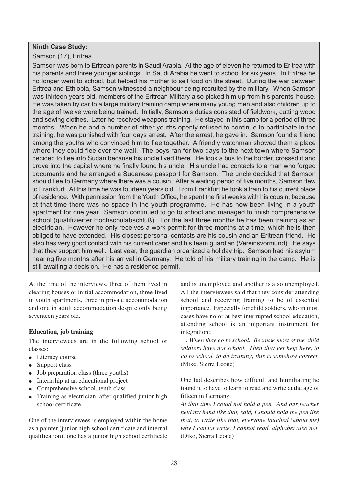#### **Ninth Case Study:**

Samson (17), Eritrea

Samson was born to Eritrean parents in Saudi Arabia. At the age of eleven he returned to Eritrea with his parents and three younger siblings. In Saudi Arabia he went to school for six years. In Eritrea he no longer went to school, but helped his mother to sell food on the street. During the war between Eritrea and Ethiopia, Samson witnessed a neighbour being recruited by the military. When Samson was thirteen years old, members of the Eritrean Military also picked him up from his parents' house. He was taken by car to a large military training camp where many young men and also children up to the age of twelve were being trained. Initially, Samson's duties consisted of fieldwork, cutting wood and sewing clothes. Later he received weapons training. He stayed in this camp for a period of three months. When he and a number of other youths openly refused to continue to participate in the training, he was punished with four days arrest. After the arrest, he gave in. Samson found a friend among the youths who convinced him to flee together. A friendly watchman showed them a place where they could flee over the wall. The boys ran for two days to the next town where Samson decided to flee into Sudan because his uncle lived there. He took a bus to the border, crossed it and drove into the capital where he finally found his uncle. His uncle had contacts to a man who forged documents and he arranged a Sudanese passport for Samson. The uncle decided that Samson should flee to Germany where there was a cousin. After a waiting period of five months, Samson flew to Frankfurt. At this time he was fourteen years old. From Frankfurt he took a train to his current place of residence. With permission from the Youth Office, he spent the first weeks with his cousin, because at that time there was no space in the youth programme. He has now been living in a youth apartment for one year. Samson continued to go to school and managed to finish comprehensive school (qualifizierter Hochschulabschluß). For the last three months he has been training as an electrician. However he only receives a work permit for three months at a time, which he is then obliged to have extended. His closest personal contacts are his cousin and an Eritrean friend. He also has very good contact with his current carer and his team guardian (Vereinsvormund). He says that they support him well. Last year, the guardian organized a holiday trip. Samson had his asylum hearing five months after his arrival in Germany. He told of his military training in the camp. He is still awaiting a decision. He has a residence permit.

At the time of the interviews, three of them lived in clearing houses or initial accommodation, three lived in youth apartments, three in private accommodation and one in adult accommodation despite only being seventeen years old.

#### **Education, job training**

The interviewees are in the following school or classes:

- Literacy course
- Support class
- Job preparation class (three youths)
- Internship at an educational project
- Comprehensive school, tenth class
- Training as electrician, after qualified junior high school certificate.

One of the interviewees is employed within the home as a painter (junior high school certificate and internal qualification), one has a junior high school certificate and is unemployed and another is also unemployed. All the interviewees said that they consider attending school and receiving training to be of essential importance. Especially for child soldiers, who in most cases have no or at best interrupted school education, attending school is an important instrument for integration:.

*… When they go to school. Because most of the child soldiers have not school. Then they get help here, to go to school, to do training, this is somehow correct.* (Mike, Sierra Leone)

One lad describes how difficult and humiliating he found it to have to learn to read and write at the age of fifteen in Germany:

*At that time I could not hold a pen. And our teacher held my hand like that, said, I should hold the pen like that, to write like that, everyone laughed (about me) why I cannot write, I cannot read, alphabet also not.* (Diko, Sierra Leone)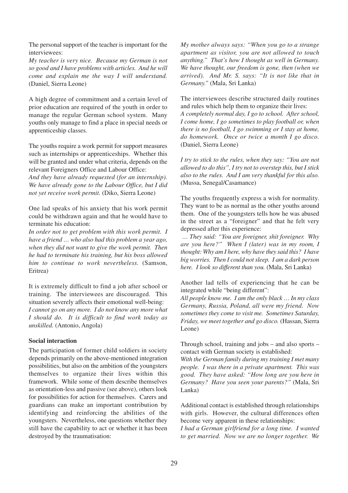The personal support of the teacher is important for the interviewees:

*My teacher is very nice. Because my German is not so good and I have problems with articles. And he will come and explain me the way I will understand.* (Daniel, Sierra Leone)

A high degree of commitment and a certain level of prior education are required of the youth in order to manage the regular German school system. Many youths only manage to find a place in special needs or apprenticeship classes.

The youths require a work permit for support measures such as internships or apprenticeships. Whether this will be granted and under what criteria, depends on the relevant Foreigners Office and Labour Office:

*And they have already requested (for an internship). We have already gone to the Labour Office, but I did not yet receive work permit.* (Diko, Sierra Leone)

One lad speaks of his anxiety that his work permit could be withdrawn again and that he would have to terminate his education:

*In order not to get problem with this work permit. I have a friend … who also had this problem a year ago, when they did not want to give the work permit. Then he had to terminate his training, but his boss allowed him to continue to work nevertheless.* (Samson, Eritrea)

It is extremely difficult to find a job after school or training. The interviewees are discouraged. This situation severely affects their emotional well-being: *I cannot go on any more. I do not know any more what I should do. It is difficult to find work today as unskilled.* (Antonio, Angola)

#### **Social interaction**

The participation of former child soldiers in society depends primarily on the above-mentioned integration possibilities, but also on the ambition of the youngsters themselves to organize their lives within this framework. While some of them describe themselves as orientation-less and passive (see above), others look for possibilities for action for themselves. Carers and guardians can make an important contribution by identifying and reinforcing the abilities of the youngsters. Nevertheless, one questions whether they still have the capability to act or whether it has been destroyed by the traumatisation:

*My mother always says: "When you go to a strange apartment as visitor, you are not allowed to touch anything." That's how I thought as well in Germany. We have thought, our freedom is gone, then (when we arrived). And Mr. S. says: "It is not like that in Germany."* (Mala, Sri Lanka)

The interviewees describe structured daily routines and rules which help them to organize their lives:

*A completely normal day, I go to school. After school, I come home, I go sometimes to play football or, when there is no football, I go swimming or I stay at home, do homework. Once or twice a month I go disco.* (Daniel, Sierra Leone)

*I try to stick to the rules, when they say: "You are not allowed to do this", I try not to overstep this, but I stick also to the rules. And I am very thankful for this also.* (Mussa, Senegal/Casamance)

The youths frequently express a wish for normality. They want to be as normal as the other youths around them. One of the youngsters tells how he was abused in the street as a "foreigner" and that he felt very depressed after this experience:

*… They said: "You are foreigner, shit foreigner. Why are you here?" When I (later) was in my room, I thought: Why am I here, why have they said this? I have big worries. Then I could not sleep. I am a dark person here. I look so different than you.* (Mala, Sri Lanka)

Another lad tells of experiencing that he can be integrated while "being different":

*All people know me. I am the only black … In my class Germany, Russia, Poland, all were my friend. Now sometimes they come to visit me. Sometimes Saturday, Friday, we meet together and go disco.* (Hassan, Sierra Leone)

Through school, training and jobs – and also sports – contact with German society is established:

*With the German family during my training I met many people. I was there in a private apartment. This was good. They have asked: "How long are you here in Germany? Have you seen your parents?"* (Mala, Sri Lanka)

Additional contact is established through relationships with girls. However, the cultural differences often become very apparent in these relationships:

*I had a German girlfriend for a long time. I wanted to get married. Now we are no longer together. We*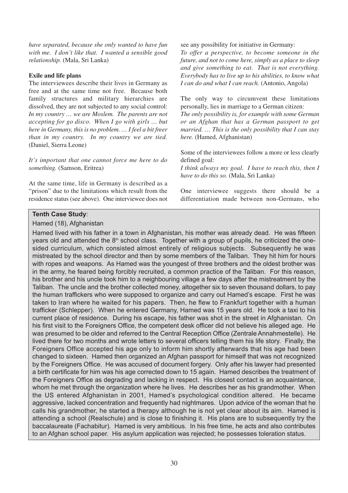*have separated, because she only wanted to have fun with me. I don't like that. I wanted a sensible good relationship.* (Mala, Sri Lanka)

#### **Exile and life plans**

The interviewees describe their lives in Germany as free and at the same time not free. Because both family structures and military hierarchies are dissolved, they are not subjected to any social control: *In my country … we are Moslem. The parents are not accepting for go disco. When I go with girls … but here in Germany, this is no problem. … I feel a bit freer than in my country. In my country we are tied.* (Daniel, Sierra Leone)

*It's important that one cannot force me here to do something.* (Samson, Eritrea)

At the same time, life in Germany is described as a "prison" due to the limitations which result from the residence status (see above). One interviewee does not see any possibility for initiative in Germany:

*To offer a perspective, to become someone in the future, and not to come here, simply as a place to sleep and give something to eat. That is not everything. Everybody has to live up to his abilities, to know what I can do and what I can reach.* (Antonio, Angola)

The only way to circumvent these limitations personally, lies in marriage to a German citizen: *The only possibility is, for example with some German*

*or an Afghan that has a German passport to get married. … This is the only possibility that I can stay here.* (Hamed, Afghanistan)

Some of the interviewees follow a more or less clearly defined goal:

*I think always my goal. I have to reach this, then I have to do this so.* (Mala, Sri Lanka)

One interviewee suggests there should be a differentiation made between non-Germans, who

#### **Tenth Case Study**:

#### Hamed (18), Afghanistan

Hamed lived with his father in a town in Afghanistan, his mother was already dead. He was fifteen years old and attended the 8<sup>th</sup> school class. Together with a group of pupils, he criticized the onesided curriculum, which consisted almost entirely of religious subjects. Subsequently he was mistreated by the school director and then by some members of the Taliban. They hit him for hours with ropes and weapons. As Hamed was the youngest of three brothers and the oldest brother was in the army, he feared being forcibly recruited, a common practice of the Taliban. For this reason, his brother and his uncle took him to a neighbouring village a few days after the mistreatment by the Taliban. The uncle and the brother collected money, altogether six to seven thousand dollars, to pay the human traffickers who were supposed to organize and carry out Hamed's escape. First he was taken to Iran where he waited for his papers. Then, he flew to Frankfurt together with a human trafficker (Schlepper). When he entered Germany, Hamed was 15 years old. He took a taxi to his current place of residence. During his escape, his father was shot in the street in Afghanistan. On his first visit to the Foreigners Office, the competent desk officer did not believe his alleged age. He was presumed to be older and referred to the Central Reception Office (Zentrale Annahmestelle). He lived there for two months and wrote letters to several officers telling them his life story. Finally, the Foreigners Office accepted his age only to inform him shortly afterwards that his age had been changed to sixteen. Hamed then organized an Afghan passport for himself that was not recognized by the Foreigners Office. He was accused of document forgery. Only after his lawyer had presented a birth certificate for him was his age corrected down to 15 again. Hamed describes the treatment of the Foreigners Office as degrading and lacking in respect. His closest contact is an acquaintance, whom he met through the organization where he lives. He describes her as his grandmother. When the US entered Afghanistan in 2001, Hamed's psychological condition altered. He became aggressive, lacked concentration and frequently had nightmares. Upon advice of the woman that he calls his grandmother, he started a therapy although he is not yet clear about its aim. Hamed is attending a school (Realschule) and is close to finishing it. His plans are to subsequently try the baccalaureate (Fachabitur). Hamed is very ambitious. In his free time, he acts and also contributes to an Afghan school paper. His asylum application was rejected; he possesses toleration status.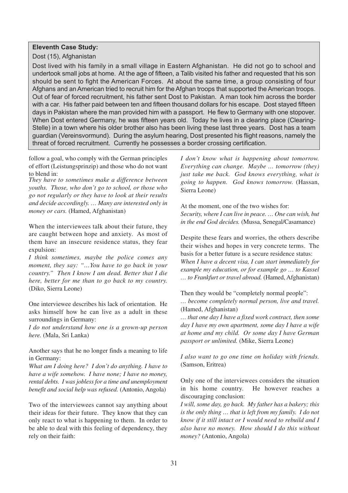#### **Eleventh Case Study:**

Dost (15), Afghanistan

Dost lived with his family in a small village in Eastern Afghanistan. He did not go to school and undertook small jobs at home. At the age of fifteen, a Talib visited his father and requested that his son should be sent to fight the American Forces. At about the same time, a group consisting of four Afghans and an American tried to recruit him for the Afghan troops that supported the American troops. Out of fear of forced recruitment, his father sent Dost to Pakistan. A man took him across the border with a car. His father paid between ten and fifteen thousand dollars for his escape. Dost stayed fifteen days in Pakistan where the man provided him with a passport. He flew to Germany with one stopover. When Dost entered Germany, he was fifteen years old. Today he lives in a clearing place (Clearing-Stelle) in a town where his older brother also has been living these last three years. Dost has a team guardian (Vereinsvormund). During the asylum hearing, Dost presented his flight reasons, namely the threat of forced recruitment. Currently he possesses a border crossing certification.

follow a goal, who comply with the German principles of effort (Leistungsprinzip) and those who do not want to blend in:

*They have to sometimes make a difference between youths. Those, who don't go to school, or those who go not regularly or they have to look at their results and decide accordingly. … Many are interested only in money or cars.* (Hamed, Afghanistan)

When the interviewees talk about their future, they are caught between hope and anxiety. As most of them have an insecure residence status, they fear expulsion:

*I think sometimes, maybe the police comes any moment, they say: "…You have to go back in your country." Then I know I am dead. Better that I die here, better for me than to go back to my country.* (Diko, Sierra Leone)

One interviewee describes his lack of orientation. He asks himself how he can live as a adult in these surroundings in Germany:

*I do not understand how one is a grown-up person here.* (Mala, Sri Lanka)

Another says that he no longer finds a meaning to life in Germany:

*What am I doing here? I don't do anything. I have to have a wife somehow. I have none; I have no money, rental debts. I was jobless for a time and unemployment benefit and social help was refused.* (Antonio, Angola)

Two of the interviewees cannot say anything about their ideas for their future. They know that they can only react to what is happening to them. In order to be able to deal with this feeling of dependency, they rely on their faith:

*I don't know what is happening about tomorrow. Everything can change. Maybe … tomorrow (they) just take me back. God knows everything, what is going to happen. God knows tomorrow.* (Hassan, Sierra Leone)

At the moment, one of the two wishes for: *Security, where I can live in peace. … One can wish, but in the end God decides.* (Mussa, Senegal/Casamance)

Despite these fears and worries, the others describe their wishes and hopes in very concrete terms. The basis for a better future is a secure residence status: *When I have a decent visa, I can start immediately for example my education, or for example go … to Kassel … to Frankfurt or travel abroad.* (Hamed, Afghanistan)

Then they would be "completely normal people": *… become completely normal person, live and travel.* (Hamed, Afghanistan)

*… that one day I have a fixed work contract, then some day I have my own apartment, some day I have a wife at home and my child. Or some day I have German passport or unlimited.* (Mike, Sierra Leone)

*I also want to go one time on holiday with friends.* (Samson, Eritrea)

Only one of the interviewees considers the situation in his home country. He however reaches a discouraging conclusion:

*I will, some day, go back. My father has a bakery; this is the only thing … that is left from my family. I do not know if it still intact or I would need to rebuild and I also have no money. How should I do this without money?* (Antonio, Angola)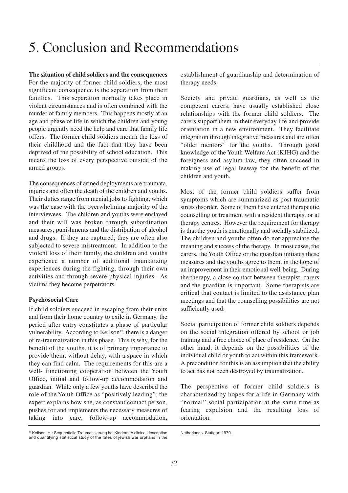## 5. Conclusion and Recommendations

**The situation of child soldiers and the consequences** For the majority of former child soldiers, the most significant consequence is the separation from their families. This separation normally takes place in violent circumstances and is often combined with the murder of family members. This happens mostly at an age and phase of life in which the children and young people urgently need the help and care that family life offers. The former child soldiers mourn the loss of their childhood and the fact that they have been deprived of the possibility of school education. This means the loss of every perspective outside of the armed groups.

The consequences of armed deployments are traumata, injuries and often the death of the children and youths. Their duties range from menial jobs to fighting, which was the case with the overwhelming majority of the interviewees. The children and youths were enslaved and their will was broken through subordination measures, punishments and the distribution of alcohol and drugs. If they are captured, they are often also subjected to severe mistreatment. In addition to the violent loss of their family, the children and youths experience a number of additional traumatizing experiences during the fighting, through their own activities and through severe physical injuries. As victims they become perpetrators.

#### **Psychosocial Care**

If child soldiers succeed in escaping from their units and from their home country to exile in Germany, the period after entry constitutes a phase of particular vulnerability. According to Keilson<sup>17</sup>, there is a danger of re-traumatization in this phase. This is why, for the benefit of the youths, it is of primary importance to provide them, without delay, with a space in which they can find calm. The requirements for this are a well- functioning cooperation between the Youth Office, initial and follow-up accommodation and guardian. While only a few youths have described the role of the Youth Office as "positively leading", the expert explains how she, as constant contact person, pushes for and implements the necessary measures of taking into care, follow-up accommodation, establishment of guardianship and determination of therapy needs.

Society and private guardians, as well as the competent carers, have usually established close relationships with the former child soldiers. The carers support them in their everyday life and provide orientation in a new environment. They facilitate integration through integrative measures and are often "older mentors" for the youths. Through good knowledge of the Youth Welfare Act (KJHG) and the foreigners and asylum law, they often succeed in making use of legal leeway for the benefit of the children and youth.

Most of the former child soldiers suffer from symptoms which are summarized as post-traumatic stress disorder. Some of them have entered therapeutic counselling or treatment with a resident therapist or at therapy centres. However the requirement for therapy is that the youth is emotionally and socially stabilized. The children and youths often do not appreciate the meaning and success of the therapy. In most cases, the carers, the Youth Office or the guardian initiates these measures and the youths agree to them, in the hope of an improvement in their emotional well-being. During the therapy, a close contact between therapist, carers and the guardian is important. Some therapists are critical that contact is limited to the assistance plan meetings and that the counselling possibilities are not sufficiently used.

Social participation of former child soldiers depends on the social integration offered by school or job training and a free choice of place of residence. On the other hand, it depends on the possibilities of the individual child or youth to act within this framework. A precondition for this is an assumption that the ability to act has not been destroyed by traumatization.

The perspective of former child soldiers is characterized by hopes for a life in Germany with "normal" social participation at the same time as fearing expulsion and the resulting loss of orientation.

<sup>&</sup>lt;sup>17</sup> Keilson H.: Sequentielle Traumatisierung bei Kindern. A clinical description and quantifying statistical study of the fates of jewish war orphans in the

Netherlands. Stuttgart 1979.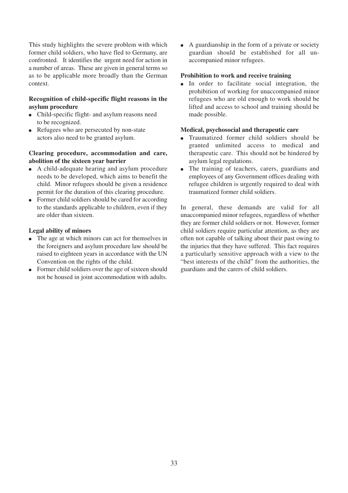This study highlights the severe problem with which former child soldiers, who have fled to Germany, are confronted. It identifies the urgent need for action in a number of areas. These are given in general terms so as to be applicable more broadly than the German context.

#### **Recognition of child-specific flight reasons in the asylum procedure**

- Child-specific flight- and asylum reasons need to be recognized.
- Refugees who are persecuted by non-state actors also need to be granted asylum.

#### **Clearing procedure, accommodation and care, abolition of the sixteen year barrier**

- A child-adequate hearing and asylum procedure needs to be developed, which aims to benefit the child. Minor refugees should be given a residence permit for the duration of this clearing procedure.
- Former child soldiers should be cared for according to the standards applicable to children, even if they are older than sixteen.

#### **Legal ability of minors**

- The age at which minors can act for themselves in the foreigners and asylum procedure law should be raised to eighteen years in accordance with the UN Convention on the rights of the child.
- Former child soldiers over the age of sixteen should not be housed in joint accommodation with adults.

● A guardianship in the form of a private or society guardian should be established for all unaccompanied minor refugees.

#### **Prohibition to work and receive training**

● In order to facilitate social integration, the prohibition of working for unaccompanied minor refugees who are old enough to work should be lifted and access to school and training should be made possible.

#### **Medical, psychosocial and therapeutic care**

- Traumatized former child soldiers should be granted unlimited access to medical and therapeutic care. This should not be hindered by asylum legal regulations.
- The training of teachers, carers, guardians and employees of any Government offices dealing with refugee children is urgently required to deal with traumatized former child soldiers.

In general, these demands are valid for all unaccompanied minor refugees, regardless of whether they are former child soldiers or not. However, former child soldiers require particular attention, as they are often not capable of talking about their past owing to the injuries that they have suffered. This fact requires a particularly sensitive approach with a view to the "best interests of the child" from the authorities, the guardians and the carers of child soldiers.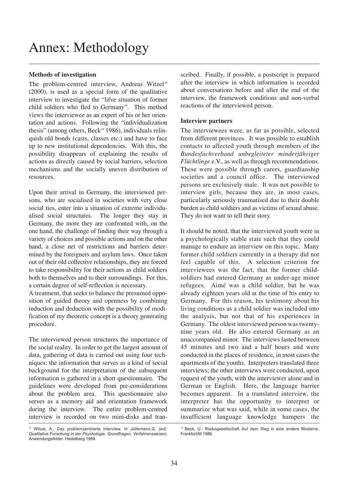#### **Methods of investigation**

The problem-centred interview, Andreas Witzel<sup>18</sup> (2000), is used as a special form of the qualitative interview to investigate the "lifve situation of former child soldiers who fled to Germany". This method views the interviewee as an expert of his or her orientation and actions. Following the "individualization thesis" (among others, Beck<sup>19</sup> 1986), individuals relinquish old bonds (casts, classes etc.) and have to face up to new institutional dependencies. With this, the possibility disappears of explaining the results of actions as directly caused by social barriers, selection mechanisms and the socially uneven distribution of resources.

Upon their arrival in Germany, the interviewed persons, who are socialised in societies with very close social ties, enter into a situation of extreme individualised social structures. The longer they stay in Germany, the more they are confronted with, on the one hand, the challenge of finding their way through a variety of choices and possible actions and on the other hand, a close net of restrictions and barriers determined by the foreigners and asylum laws. Once taken out of their old collective relationships, they are forced to take responsibility for their actions as child soldiers both to themselves and to their surroundings. For this, a certain degree of self-reflection is necessary.

A treatment, that seeks to balance the presumed opposition of guided theory and openness by combining induction and deduction with the possibility of modification of my theoretic concept is a theory generating procedure.

The interviewed person structures the importance of the social reality. In order to get the largest amount of data, gathering of data is carried out using four techniques: the information that serves as a kind of social background for the interpretation of the subsequent information is gathered in a short questionnaire. The guidelines were developed from pre-considerations about the problem area. This questionnaire also serves as a memory aid and orientation framework during the interview. The entire problem-centred interview is recorded on two mini-disks and transcribed. Finally, if possible, a postscript is prepared after the interview in which information is recorded about conversations before and after the end of the interview, the framework conditions and non-verbal reactions of the interviewed person.

#### **Interview partners**

The interviewees were, as far as possible, selected from different provinces. It was possible to establish contacts to affected youth through members of the *Bundesfachverband unbegleiteter minderjähriger Flüchtlinge* e.V., as well as through recommendations. These were possible through carers, guardianship societies and a council office. The interviewed persons are exclusively male. It was not possible to interview girls, because they are, in most cases, particularly seriously traumatised due to their double burden as child soldiers and as victims of sexual abuse. They do not want to tell their story.

It should be noted, that the interviewed youth were in a psychologically stable state such that they could manage to endure an interview on this topic. Many former child soldiers currently in a therapy did not feel capable of this. A selection criterion for interviewees was the fact, that the former childsoldiers had entered Germany as under-age minor refugees. Aimé was a child soldier, but he was already eighteen years old at the time of his entry to Germany. For this reason, his testimony about his living conditions as a child soldier was included into the analysis, but not that of his experiences in Germany. The oldest interviewed person was twentynine years old. He also entered Germany as an unaccompanied minor. The interviews lasted between 45 minutes and two and a half hours and were conducted in the places of residence, in most cases the apartments of the youths. Interpreters translated three interviews; the other interviews were conducted, upon request of the youth, with the interviewer alone and in German or English. Here, the language barrier becomes apparent. In a translated interview, the interpreter has the opportunity to interpret or summarize what was said, while in some cases, the insufficient language knowledge hampers the

<sup>18</sup> Witzel, A.: Das problemzentrierte Interview. *In Jüttemann,G. (ed): Qualitative Forschung in der Psychologie. Grundfragen, Verfahrensweisen, Anwendungsfelder*. Heidelberg 1989.

<sup>19</sup> Beck, U.: Risikogesellschaft. Auf dem Weg in eine andere Moderne. Frankfurt/M 1986.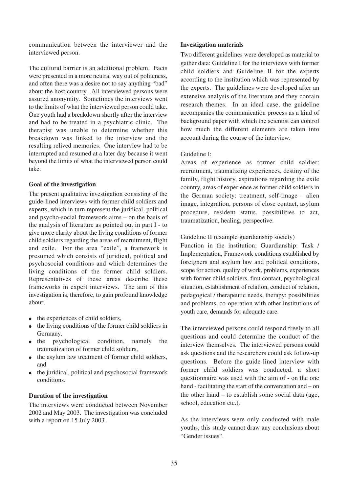communication between the interviewer and the interviewed person.

The cultural barrier is an additional problem. Facts were presented in a more neutral way out of politeness, and often there was a desire not to say anything "bad" about the host country. All interviewed persons were assured anonymity. Sometimes the interviews went to the limits of what the interviewed person could take. One youth had a breakdown shortly after the interview and had to be treated in a psychiatric clinic. The therapist was unable to determine whether this breakdown was linked to the interview and the resulting relived memories. One interview had to be interrupted and resumed at a later day because it went beyond the limits of what the interviewed person could take.

#### **Goal of the investigation**

The present qualitative investigation consisting of the guide-lined interviews with former child soldiers and experts, which in turn represent the juridical, political and psycho-social framework aims – on the basis of the analysis of literature as pointed out in part I - to give more clarity about the living conditions of former child soldiers regarding the areas of recruitment, flight and exile. For the area "exile", a framework is presumed which consists of juridical, political and psychosocial conditions and which determines the living conditions of the former child soldiers. Representatives of these areas describe these frameworks in expert interviews. The aim of this investigation is, therefore, to gain profound knowledge about:

- the experiences of child soldiers,
- the living conditions of the former child soldiers in Germany,
- the psychological condition, namely the traumatization of former child soldiers,
- the asylum law treatment of former child soldiers, and
- the juridical, political and psychosocial framework conditions.

#### **Duration of the investigation**

The interviews were conducted between November 2002 and May 2003. The investigation was concluded with a report on 15 July 2003.

#### **Investigation materials**

Two different guidelines were developed as material to gather data: Guideline I for the interviews with former child soldiers and Guideline II for the experts according to the institution which was represented by the experts. The guidelines were developed after an extensive analysis of the literature and they contain research themes. In an ideal case, the guideline accompanies the communication process as a kind of background paper with which the scientist can control how much the different elements are taken into account during the course of the interview.

#### Guideline I:

Areas of experience as former child soldier: recruitment, traumatizing experiences, destiny of the family, flight history, aspirations regarding the exile country, areas of experience as former child soldiers in the German society: treatment, self-image – alien image, integration, persons of close contact, asylum procedure, resident status, possibilities to act, traumatization, healing, perspective.

Guideline II (example guardianship society)

Function in the institution; Guardianship: Task / Implementation, Framework conditions established by foreigners and asylum law and political conditions, scope for action, quality of work, problems, experiences with former child soldiers, first contact, psychological situation, establishment of relation, conduct of relation, pedagogical / therapeutic needs, therapy: possibilities and problems, co-operation with other institutions of youth care, demands for adequate care.

The interviewed persons could respond freely to all questions and could determine the conduct of the interview themselves. The interviewed persons could ask questions and the researchers could ask follow-up questions. Before the guide-lined interview with former child soldiers was conducted, a short questionnaire was used with the aim of - on the one hand - facilitating the start of the conversation and – on the other hand – to establish some social data (age, school, education etc.).

As the interviews were only conducted with male youths, this study cannot draw any conclusions about "Gender issues".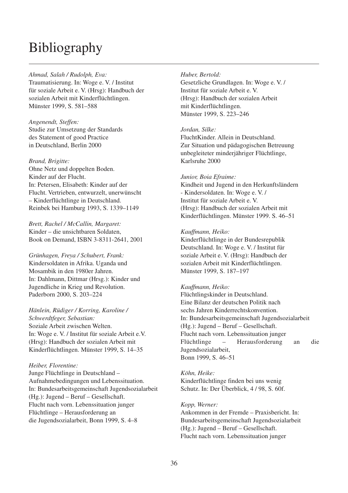### **Bibliography**

#### *Ahmad, Salah / Rudolph, Eva:*

Traumatisierung. In: Woge e. V. / Institut für soziale Arbeit e. V. (Hrsg): Handbuch der sozialen Arbeit mit Kinderflüchtlingen. Münster 1999, S. 581–588

#### *Angenendt, Steffen:*

Studie zur Umsetzung der Standards des Statement of good Practice in Deutschland, Berlin 2000

#### *Brand, Brigitte:*

Ohne Netz und doppelten Boden. Kinder auf der Flucht. In: Petersen, Elisabeth: Kinder auf der Flucht. Vertrieben, entwurzelt, unerwünscht – Kinderflüchtlinge in Deutschland. Reinbek bei Hamburg 1993, S. 1339–1149

*Brett, Rachel / McCallin, Margaret:* Kinder – die unsichtbaren Soldaten, Book on Demand, ISBN 3-8311-2641, 2001

#### *Grünhagen, Freya / Schubert, Frank:* Kindersoldaten in Afrika. Uganda und Mosambik in den 1980er Jahren. In: Dahlmann, Dittmar (Hrsg.): Kinder und Jugendliche in Krieg und Revolution. Paderborn 2000, S. 203–224

#### *Hänlein, Rüdiger / Korring, Karoline /*

*Schwerdtfeger, Sebastian:* Soziale Arbeit zwischen Welten. In: Woge e. V. / Institut für soziale Arbeit e.V. (Hrsg): Handbuch der sozialen Arbeit mit Kinderflüchtlingen. Münster 1999, S. 14–35

#### *Heiber, Florentine:*

Junge Flüchtlinge in Deutschland – Aufnahmebedingungen und Lebenssituation. In: Bundesarbeitsgemeinschaft Jugendsozialarbeit (Hg.): Jugend – Beruf – Gesellschaft. Flucht nach vorn. Lebenssituation junger Flüchtlinge – Herausforderung an die Jugendsozialarbeit, Bonn 1999, S. 4–8

#### *Huber, Bertold:* Gesetzliche Grundlagen. In: Woge e. V. / Institut für soziale Arbeit e. V. (Hrsg): Handbuch der sozialen Arbeit mit Kinderflüchtlingen. Münster 1999, S. 223–246

#### *Jordan, Silke:*

FluchtKinder. Allein in Deutschland. Zur Situation und pädagogischen Betreuung unbegleiteter minderjähriger Flüchtlinge, Karlsruhe 2000

#### *Junior, Boia Efraime:*

Kindheit und Jugend in den Herkunftsländern - Kindersoldaten. In: Woge e. V. / Institut für soziale Arbeit e. V. (Hrsg): Handbuch der sozialen Arbeit mit Kinderflüchtlingen. Münster 1999. S. 46–51

#### *Kauffmann, Heiko:*

Kinderflüchtlinge in der Bundesrepublik Deutschland. In: Woge e. V. / Institut für soziale Arbeit e. V. (Hrsg): Handbuch der sozialen Arbeit mit Kinderflüchtlingen. Münster 1999, S. 187–197

#### *Kauffmann, Heiko:*

Flüchtlingskinder in Deutschland. Eine Bilanz der deutschen Politik nach sechs Jahren Kinderrechtskonvention. In: Bundesarbeitsgemeinschaft Jugendsozialarbeit (Hg.): Jugend – Beruf – Gesellschaft. Flucht nach vorn. Lebenssituation junger Flüchtlinge – Herausforderung an die Jugendsozialarbeit, Bonn 1999, S. 46–51

*Köhn, Heike:*

Kinderflüchtlinge finden bei uns wenig Schutz. In: Der Überblick, 4 / 98, S. 60f.

#### *Kopp, Werner:*

Ankommen in der Fremde – Praxisbericht. In: Bundesarbeitsgemeinschaft Jugendsozialarbeit (Hg.): Jugend – Beruf – Gesellschaft. Flucht nach vorn. Lebenssituation junger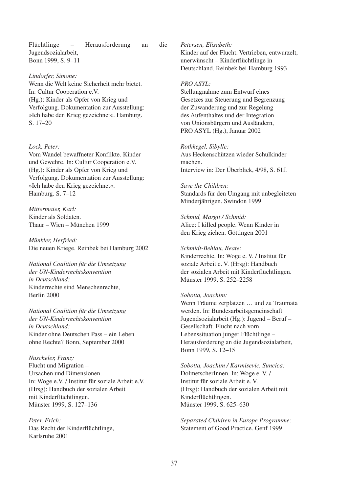Flüchtlinge – Herausforderung an die Jugendsozialarbeit, Bonn 1999, S. 9–11

*Lindorfer, Simone:*

Wenn die Welt keine Sicherheit mehr bietet. In: Cultur Cooperation e.V. (Hg.): Kinder als Opfer von Krieg und Verfolgung. Dokumentation zur Ausstellung: »Ich habe den Krieg gezeichnet«. Hamburg. S. 17–20

*Lock, Peter:* Vom Wandel bewaffneter Konflikte. Kinder und Gewehre. In: Cultur Cooperation e.V. (Hg.): Kinder als Opfer von Krieg und Verfolgung. Dokumentation zur Ausstellung: »Ich habe den Krieg gezeichnet«. Hamburg. S. 7–12

*Mittermaier, Karl:* Kinder als Soldaten. Thaur – Wien – München 1999

*Münkler, Herfried:* Die neuen Kriege. Reinbek bei Hamburg 2002

*National Coalition für die Umsetzung der UN-Kinderrechtskonvention in Deutschland:* Kinderrechte sind Menschenrechte, Berlin 2000

*National Coalition für die Umsetzung der UN-Kinderrechtskonvention in Deutschland:* Kinder ohne Deutschen Pass – ein Leben ohne Rechte? Bonn, September 2000

*Nuscheler, Franz:* Flucht und Migration – Ursachen und Dimensionen. In: Woge e.V. / Institut für soziale Arbeit e.V. (Hrsg): Handbuch der sozialen Arbeit mit Kinderflüchtlingen. Münster 1999, S. 127–136

*Peter, Erich:* Das Recht der Kinderflüchtlinge, Karlsruhe 2001

*Petersen, Elisabeth:* Kinder auf der Flucht. Vertrieben, entwurzelt, unerwünscht – Kinderflüchtlinge in Deutschland. Reinbek bei Hamburg 1993

#### *PRO ASYL:*

Stellungnahme zum Entwurf eines Gesetzes zur Steuerung und Begrenzung der Zuwanderung und zur Regelung des Aufenthaltes und der Integration von Unionsbürgern und Ausländern, PRO ASYL (Hg.), Januar 2002

*Rothkegel, Sibylle:* Aus Heckenschützen wieder Schulkinder machen. Interview in: Der Überblick, 4/98, S. 61f.

*Save the Children:* Standards für den Umgang mit unbegleiteten Minderjährigen. Swindon 1999

*Schmid, Margit / Schmid:* Alice: I killed people. Wenn Kinder in den Krieg ziehen. Göttingen 2001

*Schmidt-Behlau, Beate:* Kinderrechte. In: Woge e. V. / Institut für soziale Arbeit e. V. (Hrsg): Handbuch der sozialen Arbeit mit Kinderflüchtlingen. Münster 1999, S. 252–2258

#### *Sobotta, Joachim:*

Wenn Träume zerplatzen … und zu Traumata werden. In: Bundesarbeitsgemeinschaft Jugendsozialarbeit (Hg.): Jugend – Beruf – Gesellschaft. Flucht nach vorn. Lebenssituation junger Flüchtlinge – Herausforderung an die Jugendsozialarbeit, Bonn 1999, S. 12–15

*Sobotta, Joachim / Karmisevic, Suncica:* DolmetscherInnen. In: Woge e. V. / Institut für soziale Arbeit e. V. (Hrsg): Handbuch der sozialen Arbeit mit Kinderflüchtlingen. Münster 1999, S. 625–630

*Separated Children in Europe Programme:* Statement of Good Practice. Genf 1999